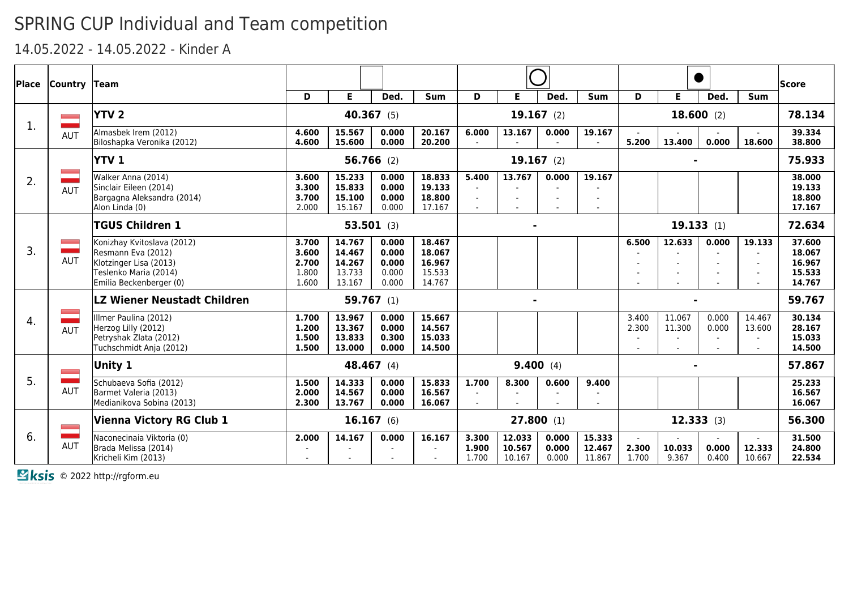14.05.2022 - 14.05.2022 - Kinder A

| Place            | <b>Country</b> | <b>Team</b>                                                                                                                    |                                           |                                                |                                           |                                                |                           |                            |                         |                            |                          |                  |                                  |                            | <b>Score</b>                                   |
|------------------|----------------|--------------------------------------------------------------------------------------------------------------------------------|-------------------------------------------|------------------------------------------------|-------------------------------------------|------------------------------------------------|---------------------------|----------------------------|-------------------------|----------------------------|--------------------------|------------------|----------------------------------|----------------------------|------------------------------------------------|
|                  |                |                                                                                                                                | D                                         | Е                                              | Ded.                                      | <b>Sum</b>                                     | D                         | Е                          | Ded.                    | <b>Sum</b>                 | D                        | Е                | Ded.                             | <b>Sum</b>                 |                                                |
| $\mathbf{1}$ .   | <b>START</b>   | <b>YTV 2</b>                                                                                                                   |                                           | 40.367 (5)                                     |                                           |                                                |                           |                            | $19.167$ (2)            |                            |                          |                  | 18.600(2)                        |                            | 78.134                                         |
|                  | <b>AUT</b>     | Almasbek Irem (2012)<br>Biloshapka Veronika (2012)                                                                             | 4.600<br>4.600                            | 15.567<br>15.600                               | 0.000<br>0.000                            | 20.167<br>20,200                               | 6.000                     | 13.167                     | 0.000                   | 19.167                     | 5.200                    | 13.400           | 0.000                            | 18.600                     | 39.334<br>38,800                               |
|                  |                | lYTV 1                                                                                                                         |                                           |                                                | $56.766$ (2)                              |                                                |                           |                            | $19.167$ (2)            |                            |                          |                  |                                  |                            | 75.933                                         |
| 2.               | <b>AUT</b>     | Walker Anna (2014)<br>Sinclair Eileen (2014)<br>Bargagna Aleksandra (2014)<br>Alon Linda (0)                                   | 3.600<br>3.300<br>3.700<br>2.000          | 15.233<br>15.833<br>15.100<br>15.167           | 0.000<br>0.000<br>0.000<br>0.000          | 18.833<br>19.133<br>18.800<br>17.167           | 5.400<br>$\sim$<br>$\sim$ | 13.767                     | 0.000                   | 19.167                     |                          |                  |                                  |                            | 38.000<br>19.133<br>18.800<br>17.167           |
|                  |                | <b>TGUS Children 1</b>                                                                                                         |                                           |                                                | $53.501$ (3)                              |                                                |                           |                            |                         |                            |                          |                  | 19.133(1)                        |                            | 72.634                                         |
| $\overline{3}$ . | <b>AUT</b>     | Konizhay Kvitoslava (2012)<br>Resmann Eva (2012)<br>Klotzinger Lisa (2013)<br>Teslenko Maria (2014)<br>Emilia Beckenberger (0) | 3.700<br>3.600<br>2.700<br>1.800<br>1.600 | 14.767<br>14.467<br>14.267<br>13.733<br>13.167 | 0.000<br>0.000<br>0.000<br>0.000<br>0.000 | 18.467<br>18.067<br>16.967<br>15.533<br>14.767 |                           |                            |                         |                            | 6.500                    | 12.633           | 0.000                            | 19.133                     | 37.600<br>18.067<br>16.967<br>15.533<br>14.767 |
|                  |                | <b>LZ Wiener Neustadt Children</b>                                                                                             |                                           |                                                | 59.767(1)                                 |                                                |                           |                            |                         |                            |                          |                  |                                  |                            | 59.767                                         |
| 4.               | <b>AUT</b>     | Illmer Paulina (2012)<br>Herzog Lilly (2012)<br>Petryshak Zlata (2012)<br>Tuchschmidt Anja (2012)                              | 1.700<br>1.200<br>1.500<br>1.500          | 13.967<br>13.367<br>13.833<br>13,000           | 0.000<br>0.000<br>0.300<br>0.000          | 15.667<br>14.567<br>15.033<br>14.500           |                           |                            |                         |                            | 3.400<br>2.300           | 11.067<br>11.300 | 0.000<br>0.000                   | 14.467<br>13.600           | 30.134<br>28.167<br>15.033<br>14.500           |
|                  |                | Unity 1                                                                                                                        |                                           |                                                | 48.467 (4)                                |                                                |                           |                            | 9.400(4)                |                            |                          |                  |                                  |                            | 57.867                                         |
| 5.               | AUT            | Schubaeva Sofia (2012)<br>Barmet Valeria (2013)<br>Medianikova Sobina (2013)                                                   | 1.500<br>2.000<br>2.300                   | 14.333<br>14.567<br>13.767                     | 0.000<br>0.000<br>0.000                   | 15,833<br>16.567<br>16.067                     | 1.700<br>$\sim$           | 8.300                      | 0.600                   | 9.400                      |                          |                  |                                  |                            | 25.233<br>16.567<br>16.067                     |
|                  |                | <b>Vienna Victory RG Club 1</b>                                                                                                |                                           |                                                | 16.167(6)                                 |                                                |                           |                            | 27.800(1)               |                            |                          | 12.333(3)        |                                  |                            | 56.300                                         |
| 6.               | AUT            | Naconecinaia Viktoria (0)<br>Brada Melissa (2014)<br>Kricheli Kim (2013)                                                       | 2.000                                     | 14.167                                         | 0.000                                     | 16.167                                         | 3.300<br>1.900<br>1.700   | 12.033<br>10.567<br>10.167 | 0.000<br>0.000<br>0.000 | 15.333<br>12.467<br>11.867 | $\sim$<br>2.300<br>1.700 | 10.033<br>9.367  | $\blacksquare$<br>0.000<br>0.400 | $\sim$<br>12.333<br>10.667 | 31.500<br>24.800<br>22.534                     |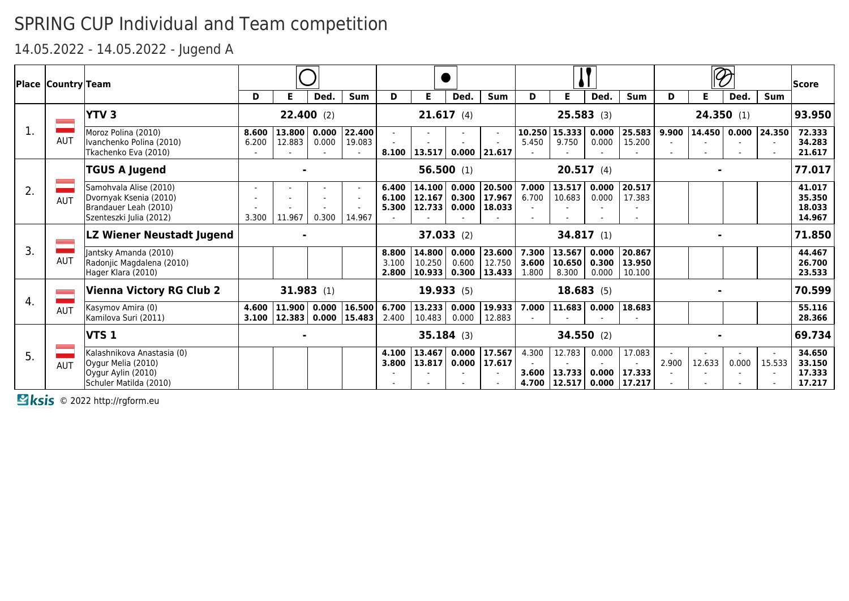14.05.2022 - 14.05.2022 - Jugend A

|              | Place  Country Team |                                                                                                      |                         |                                 |                   |                       |                         |                              |                         |                                        |                 |                                     |                         |                                      |       |                |                   |                     | <b>Score</b>                         |
|--------------|---------------------|------------------------------------------------------------------------------------------------------|-------------------------|---------------------------------|-------------------|-----------------------|-------------------------|------------------------------|-------------------------|----------------------------------------|-----------------|-------------------------------------|-------------------------|--------------------------------------|-------|----------------|-------------------|---------------------|--------------------------------------|
|              |                     | <b>YTV3</b>                                                                                          | D                       | F                               | Ded.<br>22.400(2) | Sum                   | D                       | Е.                           | Ded.<br>21.617(4)       | <b>Sum</b>                             | D               | Е                                   | Ded.<br>25.583(3)       | <b>Sum</b>                           | D     | Е.             | Ded.<br>24.350(1) | <b>Sum</b>          | 93.950                               |
|              | <b>AUT</b>          | Moroz Polina (2010)<br>Ivanchenko Polina (2010)<br>Tkachenko Eva (2010)                              | 8.600<br>6.200          | 13.800<br>12.883                | 0.000<br>0.000    | 22.400<br>19.083      |                         | $8.100$   13.517             |                         | $\sim$<br>$0.000$ 21.617               | 10.250<br>5.450 | 15.333<br>9.750                     | 0.000<br>0.000          | 25.583<br>15.200                     | 9.900 |                |                   | 14.450 0.000 24.350 | 72.333<br>34.283<br>21.617           |
|              |                     | <b>TGUS A Jugend</b>                                                                                 |                         |                                 |                   |                       |                         |                              | 56.500(1)               |                                        |                 |                                     | 20.517(4)               |                                      |       |                |                   |                     | 77.017                               |
| 2.           | <b>AUT</b>          | Samohvala Alise (2010)<br>Dvornyak Ksenia (2010)<br>Brandauer Leah (2010)<br>Szenteszki Julia (2012) | $\blacksquare$<br>3.300 | 11.967                          | 0.300             | 14.967                | 6.400<br>6.100<br>5.300 | 14.100<br>12.167<br> 12.733  | 0.000<br>0.300<br>0.000 | 20.500<br> 17.967 <br>18.033           | 7.000<br>6.700  | 13.517<br>10.683                    | 0.000<br>0.000          | 20.517<br>17.383                     |       |                |                   |                     | 41.017<br>35,350<br>18.033<br>14.967 |
|              |                     | LZ Wiener Neustadt Jugend                                                                            |                         |                                 |                   |                       |                         |                              | 37.033(2)               |                                        |                 |                                     | 34.817(1)               |                                      |       |                |                   |                     | 71.850                               |
| $\mathsf{B}$ | <b>AUT</b>          | Jantsky Amanda (2010)<br>Radonjic Magdalena (2010)<br>Hager Klara (2010)                             |                         |                                 |                   |                       | 8.800<br>3.100<br>2.800 | 14.800<br>10.250<br>  10.933 | 0.000<br>0.600          | 23.600<br> 12.750 <br>$0.300$   13.433 | 7.300<br>1.800  | 13.567<br>$3.600$   10.650<br>8.300 | 0.000<br>0.300<br>0.000 | 20.867<br>13.950<br>10.100           |       |                |                   |                     | 44.467<br>26.700<br>23.533           |
|              |                     | <b>Vienna Victory RG Club 2</b>                                                                      |                         |                                 | 31.983(1)         |                       |                         |                              | 19.933(5)               |                                        |                 |                                     | 18.683(5)               |                                      |       |                |                   |                     | 70.599                               |
| 4.           | <b>AUT</b>          | Kasymov Amira (0)<br>Kamilova Suri (2011)                                                            | 4.600                   | 3.100   12.383   0.000   15.483 |                   | 11.900  0.000  16.500 | 6.700<br>2.400          | 13.233<br>10.483             | 0.000<br>0.000          | 19.933 <br>12.883                      |                 | 7.000 11.683                        | 0.000                   | 18.683                               |       |                |                   |                     | 55.116<br>28.366                     |
|              |                     | VTS <sub>1</sub>                                                                                     |                         |                                 |                   |                       |                         |                              | $35.184$ (3)            |                                        |                 |                                     | 34.550(2)               |                                      |       | $\blacksquare$ |                   |                     | 69.734                               |
| 5.           | AUT                 | Kalashnikova Anastasia (0)<br>Oygur Melia (2010)<br>Oygur Aylin (2010)<br>Schuler Matilda (2010)     |                         |                                 |                   |                       | 4.100<br>3.800          | 13.467<br> 13.817            | 0.000<br>0.000          | 17.567<br>17.617                       | 4.300<br>3.600  | 12.783<br>13.733<br>4.700 12.517    | 0.000<br>0.000          | 17.083<br>17.333<br>$0.000$   17.217 | 2.900 | 12.633         | 0.000             | 15.533              | 34.650<br>33.150<br>17.333<br>17.217 |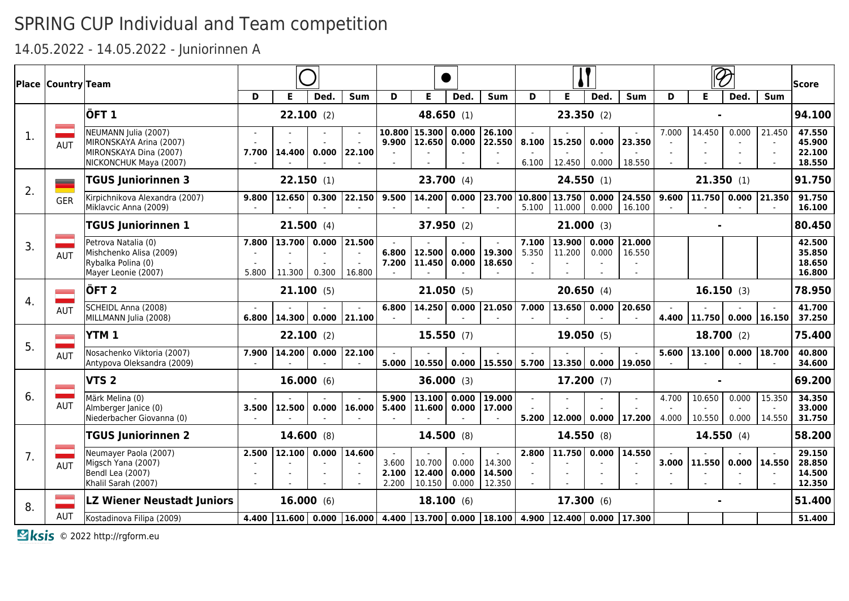### 14.05.2022 - 14.05.2022 - Juniorinnen A

|                | <b>Place Country Team</b> |                                                                                                     |                                   |                    |                |                       |                         |                                                                                                                                                      |                         |                            |                 |                          |                |                  |                |                  | $\overline{\mathscr{D}}$ |                     | <b>Score</b>                         |
|----------------|---------------------------|-----------------------------------------------------------------------------------------------------|-----------------------------------|--------------------|----------------|-----------------------|-------------------------|------------------------------------------------------------------------------------------------------------------------------------------------------|-------------------------|----------------------------|-----------------|--------------------------|----------------|------------------|----------------|------------------|--------------------------|---------------------|--------------------------------------|
|                |                           |                                                                                                     | D                                 | Е                  | Ded.           | Sum                   | D                       | E                                                                                                                                                    | Ded.                    | Sum                        | D               | E                        | Ded.           | Sum              | D              | E                | Ded.                     | <b>Sum</b>          |                                      |
|                |                           | ÖFT <sub>1</sub>                                                                                    |                                   | $22.100$ (2)       |                |                       |                         |                                                                                                                                                      | 48.650 (1)              |                            |                 |                          | 23.350(2)      |                  |                |                  |                          |                     | 94.100                               |
| $\mathbf{1}$ . | AUT                       | NEUMANN Julia (2007)<br>MIRONSKAYA Arina (2007)<br>MIRONSKAYA Dina (2007)<br>NICKONCHUK Maya (2007) | 7.700                             | 14,400             | 0.000          | 22.100                | 10.800                  | 15.300<br>$9.900$   12.650                                                                                                                           | 0.000<br>0.000          | 26.100<br>22.550<br>$\sim$ | 8.100<br>6.100  | 15.250<br>12.450         | 0.000<br>0.000 | 23.350<br>18.550 | 7.000          | 14.450           | 0.000                    | 21.450              | 47.550<br>45.900<br>22.100<br>18.550 |
|                | _                         | TGUS Juniorinnen 3                                                                                  |                                   | 22.150(1)          |                |                       |                         |                                                                                                                                                      | 23.700(4)               |                            |                 |                          | 24.550(1)      |                  |                | 21.350(1)        |                          |                     | 91.750                               |
| 2.             | <b>GER</b>                | Kirpichnikova Alexandra (2007)<br>Miklavcic Anna (2009)                                             | 9.800                             | 12.650             | 0.300          | 22.150                | 9.500                   | 14.200                                                                                                                                               | 0.000                   | 23.700                     | 10.800<br>5.100 | 13.750<br>11.000         | 0.000<br>0.000 | 24.550<br>16.100 | 9.600          | 11.750   0.000   |                          | 21.350              | 91.750<br>16.100                     |
|                |                           | <b>TGUS Juniorinnen 1</b>                                                                           |                                   | 21.500(4)          |                |                       |                         |                                                                                                                                                      | 37.950 (2)              |                            |                 |                          | $21.000$ (3)   |                  |                |                  |                          |                     | 80.450                               |
| 3.             | <b>AUT</b>                | Petrova Natalia (0)<br>Mishchenko Alisa (2009)<br>Rybalka Polina (0)<br>Mayer Leonie (2007)         | 7.800<br>5.800                    | 13.700  <br>11.300 | 0.000<br>0.300 | 21.500<br>16.800      | 6.800<br>7.200          | 12.500<br>11.450                                                                                                                                     | 0.000<br>0.000          | 19.300<br>18.650           | 7.100<br>5.350  | 13.900<br>11.200         | 0.000<br>0.000 | 21.000<br>16.550 |                |                  |                          |                     | 42.500<br>35.850<br>18.650<br>16.800 |
|                |                           | ÖFT 2                                                                                               |                                   | 21.100(5)          |                |                       |                         |                                                                                                                                                      | 21.050(5)               |                            |                 |                          | 20.650(4)      |                  |                | 16.150(3)        |                          |                     | 78.950                               |
| 4.             | AUT                       | SCHEIDL Anna (2008)<br>MILLMANN Julia (2008)                                                        | 6.800                             |                    |                | 14.300  0.000  21.100 | 6.800                   | 14.250                                                                                                                                               | 0.000                   | 21.050                     | 7.000           | 13.650                   | 0.000          | 20.650           | 4.400          |                  |                          | 11.750 0.000 16.150 | 41.700<br>37.250                     |
|                |                           | YTM <sub>1</sub>                                                                                    |                                   | $22.100$ (2)       |                |                       |                         |                                                                                                                                                      | 15.550(7)               |                            |                 |                          | 19.050(5)      |                  |                | 18.700(2)        |                          |                     | 75.400                               |
| 5.             | AUT                       | Nosachenko Viktoria (2007)<br>Antypova Oleksandra (2009)                                            | 7.900                             | 14.200             | 0.000          | 22.100                | 5.000                   | 10.550                                                                                                                                               | 0.000                   | 15.550                     |                 | $5.700$   13.350   0.000 |                | 19.050           | 5.600          | 13.100           | 0.000                    | 18.700              | 40.800<br>34.600                     |
|                |                           | VTS <sub>2</sub>                                                                                    |                                   | 16.000(6)          |                |                       |                         |                                                                                                                                                      | 36.000 (3)              |                            |                 |                          | 17.200(7)      |                  |                |                  |                          |                     | 69.200                               |
| 6.             | <b>AUT</b>                | Märk Melina (0)<br>Almberger Janice (0)<br>Niederbacher Giovanna (0)                                | 3.500                             | 12.500             | 0.000          | 16.000                | 5.900<br>5.400          | 13.100<br>11.600                                                                                                                                     | 0.000<br>0.000          | 19.000<br>17.000           |                 | 5.200  12.000            | 0.000          | 17.200           | 4.700<br>4.000 | 10.650<br>10.550 | 0.000<br>0.000           | 15.350<br>14.550    | 34.350<br>33.000<br>31.750           |
|                |                           | <b>TGUS Juniorinnen 2</b>                                                                           |                                   | 14.600(8)          |                |                       |                         | 14.500 (8)                                                                                                                                           |                         |                            |                 |                          | 14.550 (8)     |                  |                | 14.550(4)        |                          |                     | 58.200                               |
| 7.             | <b>AUT</b>                | Neumayer Paola (2007)<br>Migsch Yana (2007)<br>Bendl Lea (2007)<br>Khalil Sarah (2007)              | 2.500<br>$\overline{\phantom{a}}$ | 12.100             | 0.000          | 14.600                | 3.600<br>2.100<br>2.200 | 10.700<br>12.400<br>10.150                                                                                                                           | 0.000<br>0.000<br>0.000 | 14.300<br>14.500<br>12.350 | 2.800           | 11.750                   | 0.000          | 14.550           | 3.000          | 11.550           | 0.000                    | 14.550              | 29.150<br>28.850<br>14.500<br>12,350 |
| 8.             |                           | <b>LZ Wiener Neustadt Juniors</b>                                                                   |                                   | 16.000(6)          |                |                       |                         |                                                                                                                                                      | 18.100(6)               |                            |                 |                          | 17.300(6)      |                  |                |                  |                          |                     | 51.400                               |
|                | AUT                       | Kostadinova Filipa (2009)                                                                           | 4.400                             |                    |                |                       |                         | $\mid$ 11.600 $\mid$ 0.000 $\mid$ 16.000 $\mid$ 4.400 $\mid$ 13.700 $\mid$ 0.000 $\mid$ 18.100 $\mid$ 4.900 $\mid$ 12.400 $\mid$ 0.000 $\mid$ 17.300 |                         |                            |                 |                          |                |                  |                |                  |                          |                     | 51,400                               |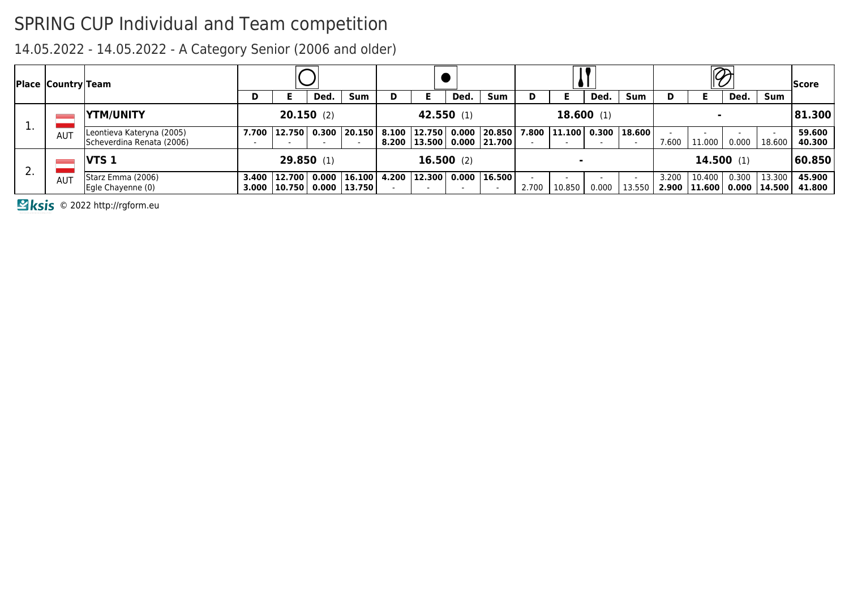14.05.2022 - 14.05.2022 - A Category Senior (2006 and older)

|          | <b>Place Country Team</b> |                                                        |   |                                                     |       |        |   |                  |           |                                                     |       |                |           |                  |                | $\overline{\mathscr{P}}$   |           |        | <b>Score</b>              |
|----------|---------------------------|--------------------------------------------------------|---|-----------------------------------------------------|-------|--------|---|------------------|-----------|-----------------------------------------------------|-------|----------------|-----------|------------------|----------------|----------------------------|-----------|--------|---------------------------|
|          |                           |                                                        | D |                                                     | Ded.  | Sum    | D |                  | Ded.      | Sum                                                 |       |                | Ded.      | Sum              | D              |                            | Ded.      | Sum    |                           |
| <b>.</b> |                           | <b>YTM/UNITY</b>                                       |   | 20.150(2)                                           |       |        |   | 42.550 (1)       |           |                                                     |       |                | 18.600(1) |                  |                |                            |           |        | 81.300                    |
|          | AU <sub>1</sub>           | Leontieva Kateryna (2005)<br>Scheverdina Renata (2006) |   | 7.700 12.750 0.300                                  |       | 20.150 |   | $8.100$   12.750 |           | $0.000$  20.850 <br>8.200   13.500   0.000   21.700 |       | 7.800   11.100 |           | $0.300$   18.600 | 7.600          | 11.000                     | 0.000     | 18.600 | 59.600<br>40.300          |
| z.       |                           | $VTS_1$                                                |   | 29.850(1)                                           |       |        |   |                  | 16.500(2) |                                                     |       |                |           |                  |                |                            | 14.500(1) |        | 60.850                    |
|          | AU <sub>1</sub>           | Starz Emma (2006)<br>Egle Chayenne (0)                 |   | 3.400   12.700  <br>3.000   10.750   0.000   13.750 | 0.000 | 16.100 |   | 4.200 12.300     |           | $0.000$   16.500                                    | 2.700 | 10.850         | 0.000     | 13.550           | 3.200<br>2.900 | 10.400<br>  11.600   0.000 | 0.300     | 13.300 | 45.900<br> 14.500  41.800 |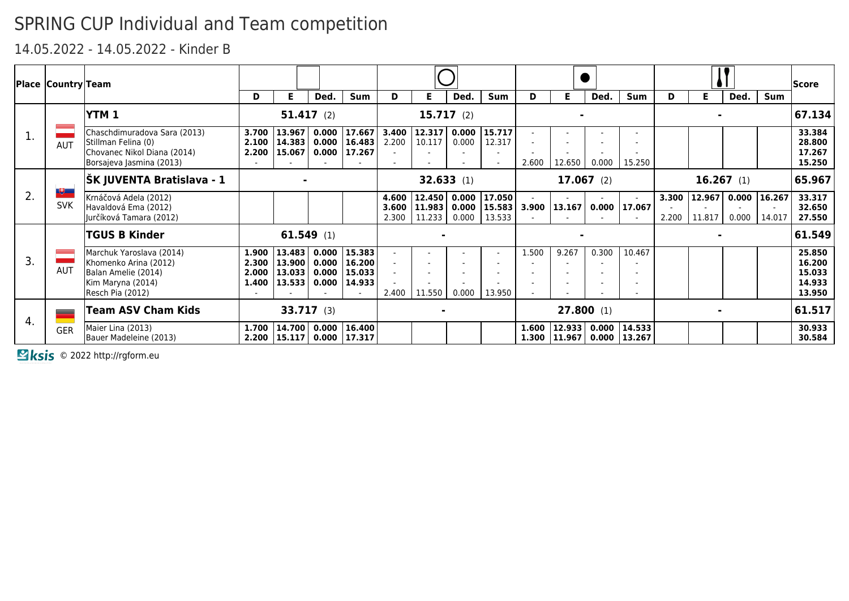#### 14.05.2022 - 14.05.2022 - Kinder B

|              | Place  Country Team |                                                                                                                   |                                  |                                              |              |                                                                              |                         |                  |                         |                                         |       |                           |              |                                      |                |                      |              |                            | <b>Score</b>                                   |
|--------------|---------------------|-------------------------------------------------------------------------------------------------------------------|----------------------------------|----------------------------------------------|--------------|------------------------------------------------------------------------------|-------------------------|------------------|-------------------------|-----------------------------------------|-------|---------------------------|--------------|--------------------------------------|----------------|----------------------|--------------|----------------------------|------------------------------------------------|
|              |                     |                                                                                                                   | D                                | E.                                           | Ded.         | Sum                                                                          | D                       | E.               | Ded.                    | Sum                                     | D     | Е                         | Ded.         | Sum                                  | D              | Е                    | Ded.         | Sum                        |                                                |
|              |                     | <b>YTM1</b>                                                                                                       |                                  |                                              | $51.417$ (2) |                                                                              |                         |                  | 15.717(2)               |                                         |       |                           |              |                                      |                |                      |              |                            | 67.134                                         |
| 1.           | <b>AUT</b>          | Chaschdimuradova Sara (2013)<br>Stillman Felina (0)<br>Chovanec Nikol Diana (2014)<br>Borsajeva Jasmina (2013)    | 3.700<br>2.200                   | 13.967<br> 15.067                            |              | $0.000$   17.667<br>$2.100$   14.383   0.000   16.483  <br>$0.000$   17.267  | 3.400<br>2.200          | 12.317<br>10.117 | 0.000<br>0.000          | 15.717<br>12.317<br>$\sim$              | 2.600 | 12.650                    | 0.000        | 15.250                               |                |                      |              |                            | 33.384<br>28.800<br>17.267<br>15.250           |
|              | 博士                  | ŠK JUVENTA Bratislava - 1                                                                                         |                                  |                                              |              |                                                                              |                         |                  | 32.633(1)               |                                         |       |                           | $17.067$ (2) |                                      |                |                      | $16.267$ (1) |                            | 65.967                                         |
| 2.           | <b>SVK</b>          | Krnáčová Adela (2012)<br>Havaldová Ema (2012)<br>Jurčíková Tamara (2012)                                          |                                  |                                              |              |                                                                              | 4.600<br>3.600<br>2.300 | 11.233           | 12.450   0.000<br>0.000 | 17.050<br>11.983 0.000 15.583<br>13.533 |       | $3.900$   13.167          |              | $0.000$   17.067                     | 3.300<br>2.200 | 12.967  <br>  11.817 | 0.000        | $0.000$   16.267<br>14.017 | 33.317<br>32.650<br>27.550                     |
|              |                     | <b>TGUS B Kinder</b>                                                                                              |                                  |                                              | $61.549$ (1) |                                                                              |                         |                  |                         |                                         |       |                           |              |                                      |                |                      |              |                            | 61.549                                         |
| $\mathbf{3}$ | <b>AUT</b>          | Marchuk Yaroslava (2014)<br>Khomenko Arina (2012)<br>Balan Amelie (2014)<br>Kim Maryna (2014)<br>Resch Pia (2012) | 1.900<br>2.300<br>2.000<br>1.400 | 13.483  <br> 13.900 <br> 13.033 <br>  13.533 |              | $0.000$   15.383<br>0.000   16.200  <br>$0.000$   15.033<br>$0.000$   14.933 | 2.400                   | 11.550           | 0.000                   | 13.950                                  | 1.500 | 9.267                     | 0.300        | 10.467                               |                |                      |              |                            | 25.850<br>16.200<br>15.033<br>14.933<br>13.950 |
| 4.           |                     | Team ASV Cham Kids                                                                                                |                                  |                                              | 33.717(3)    |                                                                              |                         |                  |                         |                                         |       |                           | 27.800(1)    |                                      |                |                      |              |                            | 61.517                                         |
|              | <b>GER</b>          | Maier Lina (2013)<br>Bauer Madeleine (2013)                                                                       | 1.700<br>2.200                   | 14.700 <br> 15.117                           |              | $0.000$   16.400<br>$0.000$   17.317                                         |                         |                  |                         |                                         | 1.600 | 12.933 <br>1.300   11.967 |              | $0.000$   14.533<br>$0.000$   13.267 |                |                      |              |                            | 30.933<br>30.584                               |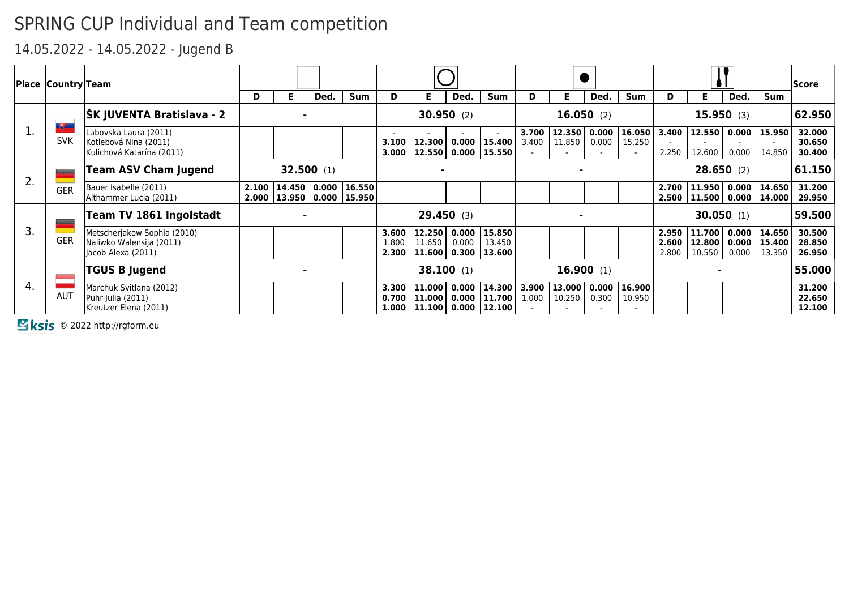14.05.2022 - 14.05.2022 - Jugend B

|    | <b>Place Country Team</b> |                                                                               |       |                                                         |      |            |                         |                    |              |                                                                    |                |                  |                |                  |                         |                                        |           |                                                        | <b>Score</b>               |
|----|---------------------------|-------------------------------------------------------------------------------|-------|---------------------------------------------------------|------|------------|-------------------------|--------------------|--------------|--------------------------------------------------------------------|----------------|------------------|----------------|------------------|-------------------------|----------------------------------------|-----------|--------------------------------------------------------|----------------------------|
|    |                           |                                                                               | D     | Е                                                       | Ded. | <b>Sum</b> | D                       |                    | Ded.         | <b>Sum</b>                                                         | D              | Е.               | Ded.           | <b>Sum</b>       | D                       | Е.                                     | Ded.      | <b>Sum</b>                                             |                            |
|    | 地                         | <b>ŠK JUVENTA Bratislava - 2</b>                                              |       |                                                         |      |            |                         |                    | 30.950(2)    |                                                                    |                |                  | 16.050(2)      |                  |                         |                                        | 15.950(3) |                                                        | 62.950                     |
| ı. | <b>SVK</b>                | Labovská Laura (2011)<br>Kotlebová Nina (2011)<br>Kulichová Katarína (2011)   |       |                                                         |      |            | 3.100<br>3.000          | 12.300             |              | $\overline{a}$<br>$0.000$   15.400  <br> 12.550 0.000 15.550       | 3.700<br>3.400 | 12.350<br>11.850 | 0.000<br>0.000 | 16.050<br>15.250 | 3.400<br>2.250          | 12.600                                 | 0.000     | 12.550 0.000 15.950 <br>14.850                         | 32.000<br>30.650<br>30.400 |
| 2. |                           | <b>Team ASV Cham Jugend</b>                                                   |       | 32.500(1)                                               |      |            |                         |                    |              |                                                                    |                |                  |                |                  |                         | 28.650(2)                              |           |                                                        | 61.150                     |
|    | <b>GER</b>                | Bauer Isabelle (2011)<br>Althammer Lucia (2011)                               | 2.100 | 14.450 0.000 16.550 <br>2.000   13.950   0.000   15.950 |      |            |                         |                    |              |                                                                    |                |                  |                |                  | 2.700<br>2.500          |                                        |           | 11.950   0.000   14.650  <br>  11.500   0.000   14.000 | 31.200<br>29.950           |
|    | =                         | Team TV 1861 Ingolstadt                                                       |       |                                                         |      |            |                         |                    | 29.450(3)    |                                                                    |                |                  |                |                  |                         |                                        | 30.050(1) |                                                        | 59.500                     |
| 3. | <b>GER</b>                | Metscherjakow Sophia (2010)<br>Naliwko Walensija (2011)<br>Jacob Alexa (2011) |       |                                                         |      |            | 3.600<br>1.800<br>2.300 | 12.250<br>11.650   |              | $0.000$   15.850<br>$0.000$   13.450<br> 11.600 0.300 13.600       |                |                  |                |                  | 2.950<br>2.600<br>2.800 | 11.700 0.000<br>12.800 0.000<br>10.550 | 0.000     | 14.650  <br>  15.400  <br>13.350                       | 30.500<br>28.850<br>26.950 |
| 4. |                           | <b>TGUS B Jugend</b>                                                          |       |                                                         |      |            |                         |                    | $38.100$ (1) |                                                                    |                |                  | 16.900(1)      |                  |                         |                                        |           |                                                        | 55.000                     |
|    | <b>AUT</b>                | Marchuk Svitlana (2012)<br>Puhr Julia (2011)<br>Kreutzer Elena (2011)         |       |                                                         |      |            | 3.300<br>0.700<br>1.000 | 11.000<br>  11.000 |              | $0.000$   14.300  <br>$0.000$   11.700  <br> 11.100  0.000  12.100 | 3.900<br>1.000 | 13,000<br>10.250 | 0.000<br>0.300 | 16.900<br>10.950 |                         |                                        |           |                                                        | 31.200<br>22.650<br>12.100 |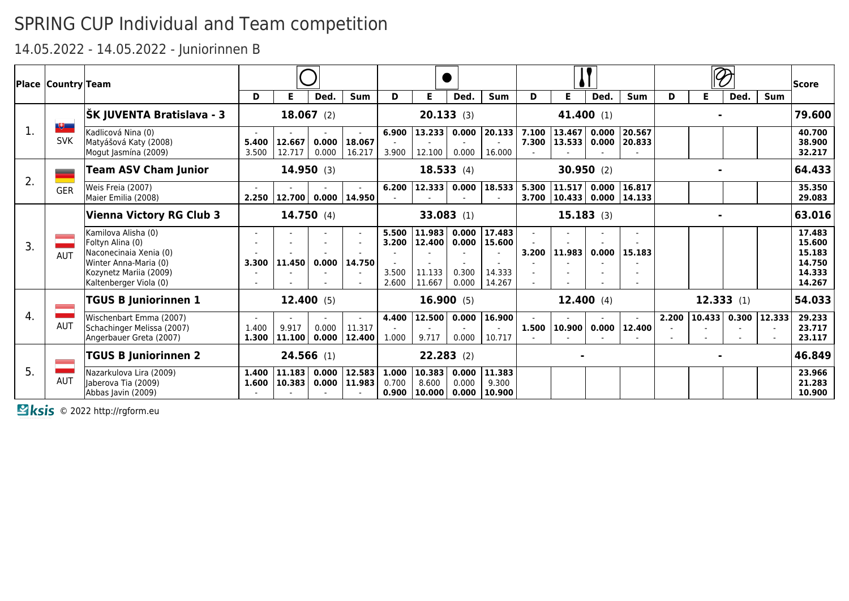### 14.05.2022 - 14.05.2022 - Juniorinnen B

|    | <b>Place Country Team</b> |                                                                                                                                                |                                   |                       |                |                            |                                  |                                      |                                  |                                      |       |                                  |                |                  |       |                       |           |            | <b>Score</b>                                             |
|----|---------------------------|------------------------------------------------------------------------------------------------------------------------------------------------|-----------------------------------|-----------------------|----------------|----------------------------|----------------------------------|--------------------------------------|----------------------------------|--------------------------------------|-------|----------------------------------|----------------|------------------|-------|-----------------------|-----------|------------|----------------------------------------------------------|
|    |                           |                                                                                                                                                | D                                 | Е                     | Ded.           | <b>Sum</b>                 | D                                | E.                                   | Ded.                             | <b>Sum</b>                           | D     | Е                                | Ded.           | <b>Sum</b>       | D     | Е                     | Ded.      | <b>Sum</b> |                                                          |
|    | $\mathbf{F}$              | ŠK JUVENTA Bratislava - 3                                                                                                                      |                                   |                       | $18.067$ (2)   |                            |                                  |                                      | 20.133(3)                        |                                      |       |                                  | 41.400 (1)     |                  |       |                       |           |            | 79.600                                                   |
| 1. | <b>SVK</b>                | Kadlicová Nina (0)<br>Matyášová Katy (2008)<br>Mogut Jasmína (2009)                                                                            | 5.400<br>3.500                    | 12.667 <br>12.717     | 0.000<br>0.000 | 18.067<br>16.217           | 6.900<br>3.900                   | 13.233<br>12.100                     | 0.000<br>0.000                   | 20.133<br>16.000                     | 7.100 | 13.467<br>7.300   13.533         | 0.000<br>0.000 | 20.567<br>20.833 |       |                       |           |            | 40.700<br>38.900<br>32.217                               |
|    | -                         | <b>Team ASV Cham Junior</b>                                                                                                                    |                                   |                       | 14.950(3)      |                            |                                  |                                      | 18.533(4)                        |                                      |       |                                  | 30.950(2)      |                  |       |                       |           |            | 64.433                                                   |
| 2. | <b>GER</b>                | Weis Freia (2007)<br>Maier Emilia (2008)                                                                                                       | 2.250                             | 12.700  0.000  14.950 |                |                            | 6.200                            | 12.333                               | 0.000                            | 18.533                               | 3.700 | 5.300   11.517<br> 10.433  0.000 | 0.000          | 16.817<br>14.133 |       |                       |           |            | 35.350<br>29.083                                         |
|    |                           | Vienna Victory RG Club 3                                                                                                                       |                                   |                       | 14.750(4)      |                            |                                  |                                      | $33.083$ (1)                     |                                      |       |                                  | 15.183(3)      |                  |       |                       |           |            | 63.016                                                   |
| 3. | <b>AUT</b>                | Kamilova Alisha (0)<br>Foltyn Alina (0)<br>Naconecinaia Xenia (0)<br>Winter Anna-Maria (0)<br>Kozynetz Mariia (2009)<br>Kaltenberger Viola (0) | $\overline{\phantom{a}}$<br>3.300 | 11.450                | 0.000          | 14.750                     | 5.500<br>3.200<br>3.500<br>2.600 | 11.983<br>12,400<br>11.133<br>11.667 | 0.000<br>0.000<br>0.300<br>0.000 | 17.483<br>15.600<br>14.333<br>14.267 | 3.200 | 11.983                           | 0.000          | 15.183           |       |                       |           |            | 17.483<br>15.600<br>15.183<br>14.750<br>14.333<br>14.267 |
|    |                           | <b>TGUS B Juniorinnen 1</b>                                                                                                                    |                                   |                       | 12.400(5)      |                            |                                  |                                      | 16.900(5)                        |                                      |       |                                  | 12.400(4)      |                  |       |                       | 12.333(1) |            | 54.033                                                   |
| 4. | <b>AUT</b>                | Wischenbart Emma (2007)<br>Schachinger Melissa (2007)<br>Angerbauer Greta (2007)                                                               | $\sim$<br>1.400<br>1.300          | 9.917<br>  11.100     | 0.000          | 11.317<br>$0.000$   12.400 | 4.400<br>1.000                   | 12.500<br>9.717                      | 0.000<br>0.000                   | 16.900<br>10.717                     |       | $1.500$   10.900                 | 0.000          | 12,400           | 2.200 | $10.433$ 0.300 12.333 |           |            | 29.233<br>23.717<br>23.117                               |
|    |                           | <b>TGUS B Juniorinnen 2</b>                                                                                                                    |                                   |                       | $24.566$ (1)   |                            |                                  | $22.283$ (2)                         |                                  |                                      |       |                                  |                |                  |       |                       |           |            | 46.849                                                   |
| 5. | <b>AUT</b>                | Nazarkulova Lira (2009)<br>laberova Tia (2009)<br>Abbas Javin (2009)                                                                           | 1.400<br>1.600                    | 11.183<br>  10.383    | 0.000          | 12.583<br>$0.000$   11.983 | 1.000<br>0.700<br>0.900          | 10.383<br>8.600<br>10.000            | 0.000<br>0.000<br>0.000          | 11.383<br>9.300<br>10.900            |       |                                  |                |                  |       |                       |           |            | 23.966<br>21.283<br>10.900                               |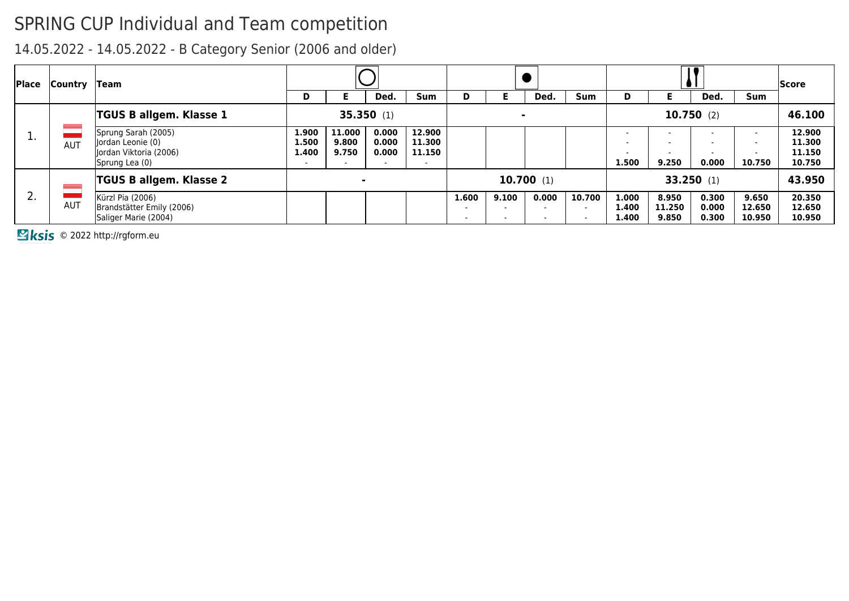14.05.2022 - 14.05.2022 - B Category Senior (2006 and older)

| Place      | Country    | $\sf T$ eam                                                                          |                                                     |                                                      |                                                     |                            |                                                               |                |                                                               |                                              |                                                                                           |                          |                         |                           | lScore                               |
|------------|------------|--------------------------------------------------------------------------------------|-----------------------------------------------------|------------------------------------------------------|-----------------------------------------------------|----------------------------|---------------------------------------------------------------|----------------|---------------------------------------------------------------|----------------------------------------------|-------------------------------------------------------------------------------------------|--------------------------|-------------------------|---------------------------|--------------------------------------|
|            |            |                                                                                      | D                                                   | Þ.                                                   | Ded.                                                | <b>Sum</b>                 | D                                                             |                | Ded.                                                          | <b>Sum</b>                                   | D                                                                                         |                          | Ded.                    | <b>Sum</b>                |                                      |
|            |            | TGUS B allgem. Klasse 1                                                              |                                                     |                                                      | 35.350(1)                                           |                            |                                                               | $\blacksquare$ |                                                               |                                              |                                                                                           |                          | 10.750(2)               |                           | 46.100                               |
| <u>д.,</u> | <b>AUT</b> | Sprung Sarah (2005)<br>Jordan Leonie (0)<br>Jordan Viktoria (2006)<br>Sprung Lea (0) | 1.900<br>1.500<br>1.400<br>$\overline{\phantom{a}}$ | 11.000<br>9.800<br>9.750<br>$\overline{\phantom{0}}$ | 0.000<br>0.000<br>0.000<br>$\overline{\phantom{a}}$ | 12.900<br>11.300<br>11.150 |                                                               |                |                                                               |                                              | $\overline{\phantom{0}}$<br>$\overline{\phantom{0}}$<br>$\overline{\phantom{0}}$<br>1.500 | 9.250                    | 0.000                   | $\sim$<br>10.750          | 12.900<br>11.300<br>11.150<br>10.750 |
|            |            | <b>TGUS B allgem. Klasse 2</b>                                                       |                                                     |                                                      |                                                     |                            |                                                               |                | 10.700(1)                                                     |                                              |                                                                                           |                          | 33.250(1)               |                           | 43.950                               |
| z.         | <b>AUT</b> | Kürzl Pia (2006)<br>Brandstätter Emily (2006)<br>Saliger Marie (2004)                |                                                     |                                                      |                                                     |                            | 1.600<br>$\overline{\phantom{a}}$<br>$\overline{\phantom{a}}$ | 9.100          | 0.000<br>$\overline{\phantom{0}}$<br>$\overline{\phantom{a}}$ | 10.700<br>$\overline{\phantom{0}}$<br>$\sim$ | 1.000<br>1.400<br>1.400                                                                   | 8.950<br>11.250<br>9.850 | 0.300<br>0.000<br>0.300 | 9.650<br>12.650<br>10.950 | 20.350<br>12.650<br>10.950           |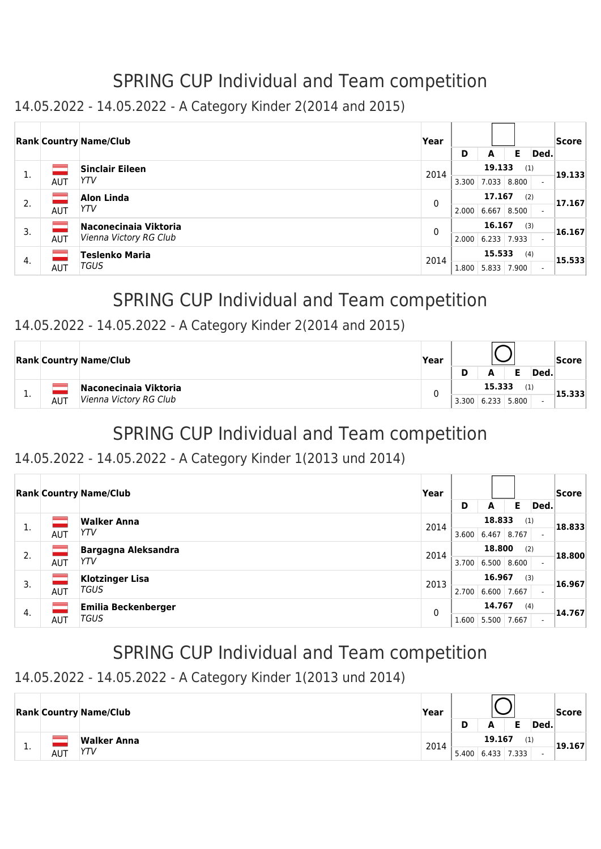### 14.05.2022 - 14.05.2022 - A Category Kinder 2(2014 and 2015)

|    |            | <b>Rank Country Name/Club</b>                   | Year | D     | A                       | Е            | Ded. | Score  |
|----|------------|-------------------------------------------------|------|-------|-------------------------|--------------|------|--------|
| 1. | AUT        | <b>Sinclair Eileen</b><br>YTV                   | 2014 | 3.300 | 19.133<br>7.033         | (1)<br>8.800 |      | 19.133 |
| 2. | AUT        | <b>Alon Linda</b><br>YTV                        | 0    | 2.000 | 17.167<br>6.667         | (2)<br>8.500 |      | 17.167 |
| 3. | <b>AUT</b> | Naconecinaia Viktoria<br>Vienna Victory RG Club | 0    | 2.000 | 16.167<br>$6.233$ 7.933 | (3)          |      | 16.167 |
| 4. | <b>AUT</b> | <b>Teslenko Maria</b><br>TGUS                   | 2014 | 1.800 | 15.533<br>5.833         | (4)<br>7.900 |      | 15.533 |

# SPRING CUP Individual and Team competition

#### 14.05.2022 - 14.05.2022 - A Category Kinder 2(2014 and 2015)

|     |            | <b>Rank Country Name/Club</b>                   | Year | D     | A               |              | Ded. | Score  |
|-----|------------|-------------------------------------------------|------|-------|-----------------|--------------|------|--------|
| . . | <b>AUT</b> | Naconecinaia Viktoria<br>Vienna Victory RG Club |      | 3.300 | 15.333<br>6.233 | (1)<br>5.800 |      | 15.333 |

# SPRING CUP Individual and Team competition

#### 14.05.2022 - 14.05.2022 - A Category Kinder 1(2013 und 2014)

|    |            | <b>Rank Country Name/Club</b> | Year |       |        |       |      | Score  |
|----|------------|-------------------------------|------|-------|--------|-------|------|--------|
|    |            |                               |      | D     | А      | Е     | Ded. |        |
| 1. |            | <b>Walker Anna</b>            | 2014 |       | 18.833 | (1)   |      | 18.833 |
|    | <b>AUT</b> | YTV                           |      | 3.600 | 6.467  | 8.767 |      |        |
| 2. |            | <b>Bargagna Aleksandra</b>    | 2014 |       | 18.800 |       | (2)  | 18.800 |
|    | <b>AUT</b> | YTV                           |      | 3.700 | 6.500  | 8.600 |      |        |
| 3. |            | <b>Klotzinger Lisa</b>        | 2013 |       | 16.967 |       | (3)  | 16.967 |
|    | <b>AUT</b> | <b>TGUS</b>                   |      | 2.700 | 6.600  | 7.667 |      |        |
| 4. |            | Emilia Beckenberger           | 0    |       | 14.767 |       | (4)  | 14.767 |
|    | <b>AUT</b> | <b>TGUS</b>                   |      | 1.600 | 5.500  | 7.667 |      |        |

# SPRING CUP Individual and Team competition

### 14.05.2022 - 14.05.2022 - A Category Kinder 1(2013 und 2014)

|   |            | <b>Rank Country Name/Club</b> | Year |       |        |               |      | Score  |
|---|------------|-------------------------------|------|-------|--------|---------------|------|--------|
|   |            |                               |      |       | A      |               | Ded. |        |
|   |            | Walker Anna                   | 2014 |       | 19.167 | (1)           |      | 19.167 |
| . | <b>AUT</b> | YTV                           |      | 5.400 |        | $6.433$ 7.333 |      |        |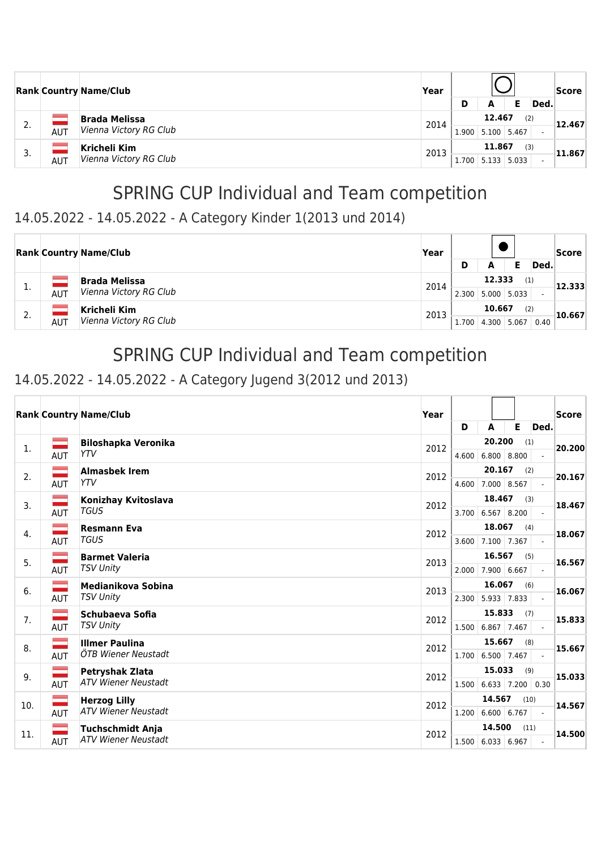|    |            | <b>Rank Country Name/Club</b>                  | Year | D     | A                       |     | Ded. | <b>Score</b> |
|----|------------|------------------------------------------------|------|-------|-------------------------|-----|------|--------------|
| 2. | <b>AUT</b> | <b>Brada Melissa</b><br>Vienna Victory RG Club | 2014 | 1.900 | 12.467<br>5.100 5.467   | (2) |      | 12.467       |
| 3. | <b>AUT</b> | Kricheli Kim<br>Vienna Victory RG Club         | 2013 | 1.700 | 11.867<br>$5.133$ 5.033 | (3) |      | 11.867       |

#### 14.05.2022 - 14.05.2022 - A Category Kinder 1(2013 und 2014)

|    |            | <b>Rank Country Name/Club</b>                  | Year | D     | А               |                                | Ded. | Score  |
|----|------------|------------------------------------------------|------|-------|-----------------|--------------------------------|------|--------|
| ı. | <b>AUT</b> | <b>Brada Melissa</b><br>Vienna Victory RG Club | 2014 | 2.300 | 12.333          | (1)<br>$5.000 \mid 5.033 \mid$ |      | 12.333 |
| 2. | <b>AUT</b> | Kricheli Kim<br>Vienna Victory RG Club         | 2013 | 1.700 | 10.667<br>4.300 | (2)<br>5.067                   | 0.40 | 10.667 |

## SPRING CUP Individual and Team competition

### 14.05.2022 - 14.05.2022 - A Category Jugend 3(2012 und 2013)

|     |                          | <b>Rank Country Name/Club</b> | Year |       |                          |      |                             | Score  |
|-----|--------------------------|-------------------------------|------|-------|--------------------------|------|-----------------------------|--------|
|     |                          |                               |      | D     | A                        | E    | Ded.                        |        |
| 1.  |                          | <b>Biloshapka Veronika</b>    | 2012 |       | 20.200                   | (1)  |                             | 20.200 |
|     | <b>AUT</b>               | <b>YTV</b>                    |      | 4.600 | $6.800 \mid 8.800$       |      | $\overline{\phantom{0}}$    |        |
| 2.  |                          | <b>Almasbek Irem</b>          | 2012 |       | 20.167                   | (2)  |                             | 20.167 |
|     | <b>AUT</b>               | <b>YTV</b>                    |      | 4.600 | 7.000 8.567              |      | $\mathbf{r}$                |        |
| 3.  |                          | Konizhay Kvitoslava           | 2012 |       | 18.467                   | (3)  |                             | 18.467 |
|     | <b>AUT</b>               | <b>TGUS</b>                   |      |       | 3.700 6.567 8.200        |      | $\mathcal{L}^{\mathcal{A}}$ |        |
| 4.  |                          | <b>Resmann Eva</b>            | 2012 |       | 18.067                   | (4)  |                             | 18.067 |
|     | <b>AUT</b>               | <b>TGUS</b>                   |      | 3.600 | 7.100 7.367              |      | $\blacksquare$              |        |
| 5.  |                          | <b>Barmet Valeria</b>         | 2013 |       | 16.567                   | (5)  |                             | 16.567 |
|     | AUT                      | <b>TSV Unity</b>              |      | 2.000 | 7.900 6.667              |      |                             |        |
| 6.  |                          | Medianikova Sobina            | 2013 |       | 16.067                   | (6)  |                             | 16.067 |
|     | <b>AUT</b>               | <b>TSV Unity</b>              |      | 2.300 | $5.933$ 7.833            |      |                             |        |
| 7.  |                          | Schubaeva Sofia               | 2012 |       | 15.833                   | (7)  |                             | 15.833 |
|     | AUT                      | <b>TSV Unity</b>              |      |       | 1.500 6.867 7.467        |      |                             |        |
| 8.  |                          | <b>Illmer Paulina</b>         | 2012 |       | 15.667                   | (8)  |                             | 15.667 |
|     | AUT                      | ÖTB Wiener Neustadt           |      |       | 1.700 6.500 7.467        |      |                             |        |
| 9.  |                          | <b>Petryshak Zlata</b>        | 2012 |       | 15.033                   | (9)  |                             | 15.033 |
|     | <b>AUT</b>               | <b>ATV Wiener Neustadt</b>    |      |       | $1.500$ 6.633 7.200 0.30 |      |                             |        |
| 10. | $\overline{\phantom{0}}$ | <b>Herzog Lilly</b>           | 2012 |       | 14.567                   | (10) |                             | 14.567 |
|     | <b>AUT</b>               | <b>ATV Wiener Neustadt</b>    |      | 1.200 | 6.600 6.767              |      |                             |        |
| 11. |                          | <b>Tuchschmidt Anja</b>       | 2012 |       | 14.500                   | (11) |                             | 14.500 |
|     | <b>AUT</b>               | <b>ATV Wiener Neustadt</b>    |      |       | $1.500$ 6.033 6.967      |      |                             |        |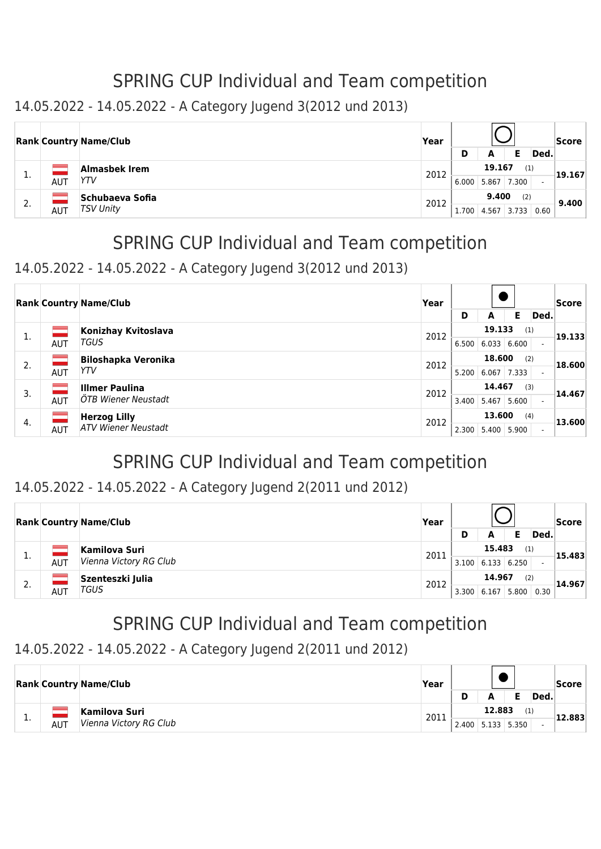#### 14.05.2022 - 14.05.2022 - A Category Jugend 3(2012 und 2013)

|     |     | <b>Rank Country Name/Club</b> | Year   |       |       |       |        | Score |
|-----|-----|-------------------------------|--------|-------|-------|-------|--------|-------|
|     |     |                               |        | D     | А     |       | Ded.   |       |
|     |     | Almasbek Irem                 | 19.167 |       | (1)   |       | 19.167 |       |
| д., | AUT | YTV                           | 2012   | 6.000 | 5.867 | 7.300 |        |       |
|     |     | <b>Schubaeva Sofia</b>        | 2012   |       | 9.400 | (2)   |        |       |
| 2.  | AUT | <b>TSV Unity</b>              |        | 1.700 | 4.567 | 3.733 | 0.60   | 9.400 |

# SPRING CUP Individual and Team competition

#### 14.05.2022 - 14.05.2022 - A Category Jugend 3(2012 und 2013)

|    | <b>Rank Country Name/Club</b> | Year                       |      |       |        |       |      | Score  |
|----|-------------------------------|----------------------------|------|-------|--------|-------|------|--------|
|    |                               |                            |      | D     | A      | Е     | Ded. |        |
| 1. |                               | Konizhay Kvitoslava        | 2012 |       | 19.133 | (1)   |      | 19.133 |
|    | AUT                           | TGUS                       |      | 6.500 | 6.033  | 6.600 |      |        |
| 2. |                               | <b>Biloshapka Veronika</b> | 2012 |       | 18.600 | (2)   |      | 18.600 |
|    | <b>AUT</b>                    | YTV                        |      | 5.200 | 6.067  | 7.333 |      |        |
| 3. | m.                            | <b>Illmer Paulina</b>      | 2012 |       | 14.467 | (3)   |      | 14.467 |
|    | <b>AUT</b>                    | ÖTB Wiener Neustadt        |      | 3.400 | 5.467  | 5.600 |      |        |
|    |                               | <b>Herzog Lilly</b>        | 2012 |       | 13.600 | (4)   |      | 13.600 |
| 4. | <b>AUT</b>                    | <b>ATV Wiener Neustadt</b> |      | 2.300 | 5.400  | 5.900 |      |        |

## SPRING CUP Individual and Team competition

#### 14.05.2022 - 14.05.2022 - A Category Jugend 2(2011 und 2012)

|    |     | <b>Rank Country Name/Club</b> | Year           |       |        |       |      | <b>Score</b> |  |  |  |        |
|----|-----|-------------------------------|----------------|-------|--------|-------|------|--------------|--|--|--|--------|
|    |     |                               |                | D     | А      |       | Ded. |              |  |  |  |        |
|    |     | Kamilova Suri                 | 15.483<br>2011 |       | (1)    |       |      |              |  |  |  | 15.483 |
| ∸. | AUT | Vienna Victory RG Club        |                | 3.100 | 6.133  | 6.250 |      |              |  |  |  |        |
| C  |     | Szenteszki Julia              | 2012           |       | 14.967 | (2)   |      | 14.967       |  |  |  |        |
| Ζ. | AUT | TGUS                          |                | 3.300 | 6.167  | 5.800 | 0.30 |              |  |  |  |        |

# SPRING CUP Individual and Team competition

#### 14.05.2022 - 14.05.2022 - A Category Jugend 2(2011 und 2012)

|     |            | <b>Rank Country Name/Club</b>           | Year | Ð     | А      |                           | Ded. | Score  |
|-----|------------|-----------------------------------------|------|-------|--------|---------------------------|------|--------|
| . . | <b>AUT</b> | Kamilova Suri<br>Vienna Victory RG Club | 2011 | 2.400 | 12.883 | (1)<br>$5.133 \mid 5.350$ |      | 12.883 |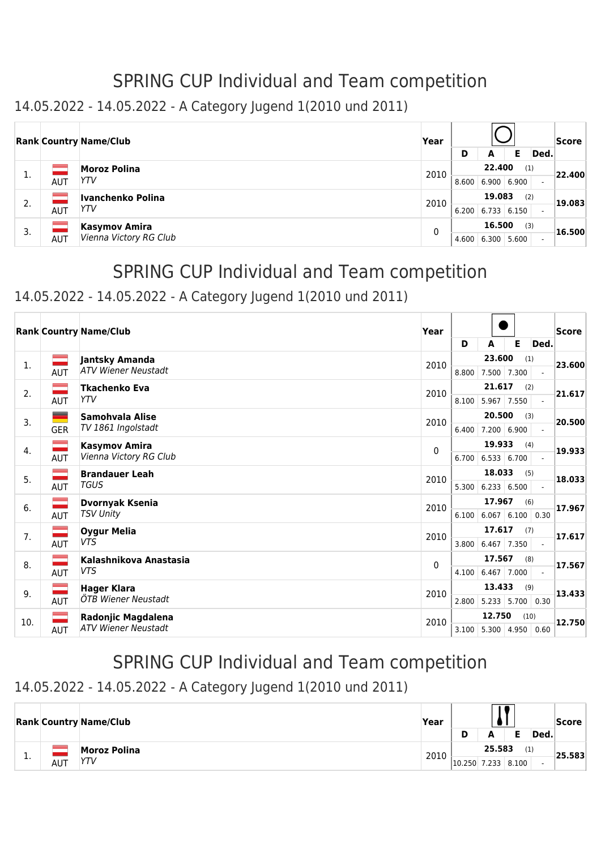### 14.05.2022 - 14.05.2022 - A Category Jugend 1(2010 und 2011)

|    |            | <b>Rank Country Name/Club</b> | Year |       |        |               |      | <b>Score</b> |
|----|------------|-------------------------------|------|-------|--------|---------------|------|--------------|
|    |            |                               |      | D     | A      | Е             | Ded. |              |
| 1. |            | <b>Moroz Polina</b>           | 2010 |       | 22,400 | (1)           |      | 22.400       |
|    | AUT        | YTV                           |      | 8.600 |        | 6.900   6.900 |      |              |
| 2. |            | Ivanchenko Polina             | 2010 |       | 19.083 | (2)           |      | 19.083       |
|    | <b>AUT</b> | YTV                           |      | 6.200 | 6.733  | 6.150         |      |              |
| 3. |            | <b>Kasymov Amira</b>          | 0    |       | 16.500 | (3)           |      | 16.500       |
|    | AUT        | Vienna Victory RG Club        |      | 4.600 | 6.300  | 5.600         |      |              |

## SPRING CUP Individual and Team competition

### 14.05.2022 - 14.05.2022 - A Category Jugend 1(2010 und 2011)

|                |               | <b>Rank Country Name/Club</b> | Year |       |                     |                              |                | Score  |
|----------------|---------------|-------------------------------|------|-------|---------------------|------------------------------|----------------|--------|
|                |               |                               |      | D     | A                   | Е                            | Ded.           |        |
| $\mathbf{1}$ . | ÷.            | Jantsky Amanda                | 2010 |       | 23.600              | (1)                          |                | 23.600 |
|                | AUT           | <b>ATV Wiener Neustadt</b>    |      | 8.800 | 7.500               | 7.300                        |                |        |
| 2.             |               | Tkachenko Eva                 | 2010 |       | 21.617              | (2)                          |                | 21.617 |
|                | <b>AUT</b>    | YTV                           |      | 8.100 | 5.967 7.550         |                              | $\overline{a}$ |        |
| 3.             | ۰             | Samohvala Alise               | 2010 |       | 20.500              | (3)                          |                | 20.500 |
|                | <b>GER</b>    | TV 1861 Ingolstadt            |      | 6.400 | 7.200 6.900         |                              |                |        |
| 4.             | $\mathcal{L}$ | <b>Kasymov Amira</b>          | 0    |       | 19.933              | (4)                          |                | 19.933 |
|                | <b>AUT</b>    | Vienna Victory RG Club        |      |       | $6.700$ 6.533 6.700 |                              |                |        |
| 5.             |               | <b>Brandauer Leah</b>         | 2010 |       | 18.033              | (5)                          |                | 18.033 |
|                | <b>AUT</b>    | <b>TGUS</b>                   |      | 5.300 | 6.233   6.500       |                              |                |        |
| 6.             |               | <b>Dvornyak Ksenia</b>        | 2010 |       | 17.967              | (6)                          |                | 17.967 |
|                | AUT           | <b>TSV Unity</b>              |      | 6.100 |                     | $6.067$ 6.100                | 0.30           |        |
| 7.             |               | <b>Oygur Melia</b>            | 2010 |       | 17.617              | (7)                          |                | 17.617 |
|                | AUT           | <b>VTS</b>                    |      | 3.800 |                     | $6.467$ 7.350                |                |        |
| 8.             |               | Kalashnikova Anastasia        | 0    |       | 17.567              | (8)                          |                | 17.567 |
|                | AUT           | <b>VTS</b>                    |      | 4.100 | $6.467$ 7.000       |                              |                |        |
| 9.             |               | <b>Hager Klara</b>            | 2010 |       | 13,433              | (9)                          |                | 13.433 |
|                | <b>AUT</b>    | ÖTB Wiener Neustadt           |      | 2.800 | 5.233               | 5.700                        | 0.30           |        |
| 10.            |               | Radonjic Magdalena            | 2010 |       | 12.750              | (10)                         |                | 12.750 |
|                | AUT           | <b>ATV Wiener Neustadt</b>    |      | 3.100 |                     | $5.300 \mid 4.950 \mid 0.60$ |                |        |

# SPRING CUP Individual and Team competition

### 14.05.2022 - 14.05.2022 - A Category Jugend 1(2010 und 2011)

|   |     | <b>Rank Country Name/Club</b> | Year |                  |        |       |      | Score  |
|---|-----|-------------------------------|------|------------------|--------|-------|------|--------|
|   |     |                               |      | D                | A      |       | Ded. |        |
|   |     | <b>Moroz Polina</b>           | 2010 |                  | 25.583 | (1)   |      | 25.583 |
| . | AUT | YTV                           |      | $ 10.250 $ 7.233 |        | 8.100 |      |        |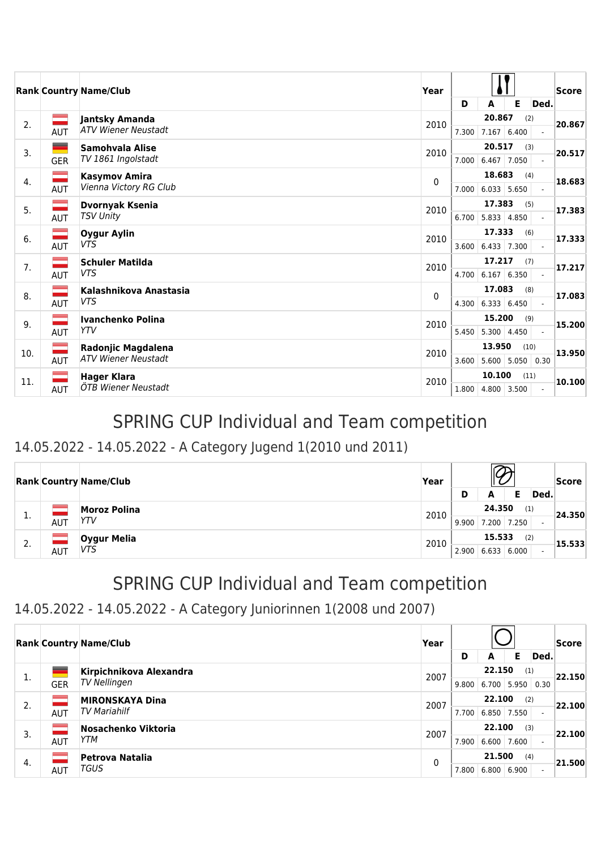|     |               | <b>Rank Country Name/Club</b> | Year |       |                               |       |                          | <b>Score</b> |
|-----|---------------|-------------------------------|------|-------|-------------------------------|-------|--------------------------|--------------|
|     |               |                               |      | D     | A                             | Е     | Ded.                     |              |
| 2.  |               | Jantsky Amanda                | 2010 |       | 20.867                        | (2)   |                          | 20.867       |
|     | AUT           | <b>ATV Wiener Neustadt</b>    |      | 7.300 | $7.167$ 6.400                 |       |                          |              |
| 3.  | ۰             | Samohvala Alise               | 2010 |       | 20.517                        | (3)   |                          | 20.517       |
|     | <b>GER</b>    | TV 1861 Ingolstadt            |      | 7.000 | 6.467                         | 7.050 |                          |              |
| 4.  | $\mathcal{L}$ | <b>Kasymov Amira</b>          | 0    |       | 18.683                        | (4)   |                          | 18.683       |
|     | AUT           | Vienna Victory RG Club        |      | 7.000 | $6.033$ 5.650                 |       |                          |              |
| 5.  | $\equiv$      | <b>Dvornyak Ksenia</b>        | 2010 |       | 17.383                        | (5)   |                          | 17.383       |
|     | AUT           | <b>TSV Unity</b>              |      | 6.700 | 5.833   4.850                 |       |                          |              |
| 6.  |               | <b>Oygur Aylin</b>            | 2010 |       | 17.333                        | (6)   |                          | 17.333       |
|     | AUT           | <b>VTS</b>                    |      | 3.600 | 6.433 7.300                   |       | $\overline{\phantom{a}}$ |              |
| 7.  |               | <b>Schuler Matilda</b>        | 2010 |       | 17.217                        | (7)   |                          | 17.217       |
|     | AUT           | <b>VTS</b>                    |      | 4.700 | $6.167 \mid 6.350$            |       |                          |              |
| 8.  |               | Kalashnikova Anastasia        | 0    |       | 17.083                        | (8)   |                          | 17.083       |
|     | AUT           | <b>VTS</b>                    |      |       | $4.300 \mid 6.333 \mid 6.450$ |       |                          |              |
| 9.  |               | Ivanchenko Polina             | 2010 |       | 15.200                        | (9)   |                          | 15.200       |
|     | AUT           | <b>YTV</b>                    |      | 5.450 | $5.300 \mid 4.450$            |       |                          |              |
| 10. | ÷.            | Radonjic Magdalena            | 2010 |       | 13.950                        | (10)  |                          | 13.950       |
|     | <b>AUT</b>    | <b>ATV Wiener Neustadt</b>    |      | 3.600 | 5.600                         | 5.050 | 0.30                     |              |
| 11. |               | <b>Hager Klara</b>            | 2010 |       | 10.100                        | (11)  |                          | 10.100       |
|     | AUT           | ÖTB Wiener Neustadt           |      |       | $1.800$   4.800   3.500       |       | $\blacksquare$           |              |

### 14.05.2022 - 14.05.2022 - A Category Jugend 1(2010 und 2011)

|    |            | <b>Rank Country Name/Club</b> | Year | D     | Ded.                    | <b>Score</b>  |  |        |
|----|------------|-------------------------------|------|-------|-------------------------|---------------|--|--------|
| π. | AUT        | <b>Moroz Polina</b><br>YTV    | 2010 |       | 24.350<br>$9.900$ 7.200 | (1)<br>17.250 |  | 24.350 |
| 2. | <b>AUT</b> | Oygur Melia<br>VTS            | 2010 | 2.900 | 15.533<br>6.633         | (2)<br>6.000  |  | 15.533 |

# SPRING CUP Individual and Team competition

14.05.2022 - 14.05.2022 - A Category Juniorinnen 1(2008 und 2007)

|    |            | <b>Rank Country Name/Club</b> | Year |               |               |                 |        | Score  |
|----|------------|-------------------------------|------|---------------|---------------|-----------------|--------|--------|
|    |            |                               |      | D             | A             | Е               | Ded.   |        |
| 1. |            | Kirpichnikova Alexandra       | 2007 |               | 22.150        | (1)             | 22.150 |        |
|    | <b>GER</b> | TV Nellingen                  |      | 9.800         | 6.700         | 5.950           | 0.30   |        |
| 2. |            | <b>MIRONSKAYA Dina</b>        | 2007 |               | 22.100<br>(2) |                 |        | 22.100 |
|    | <b>AUT</b> | <b>TV Mariahilf</b>           |      | 7.700         |               | $6.850$   7.550 |        |        |
| 3. |            | Nosachenko Viktoria           | 2007 |               | 22.100        | (3)             |        | 22.100 |
|    | <b>AUT</b> | YTM                           |      | 7.900         |               | $6.600$   7.600 |        |        |
|    |            | Petrova Natalia               | 0    | 21.500<br>(4) |               |                 |        |        |
| 4. | <b>AUT</b> | TGUS                          |      | 7.800         | 6.800         | 6.900           |        | 21.500 |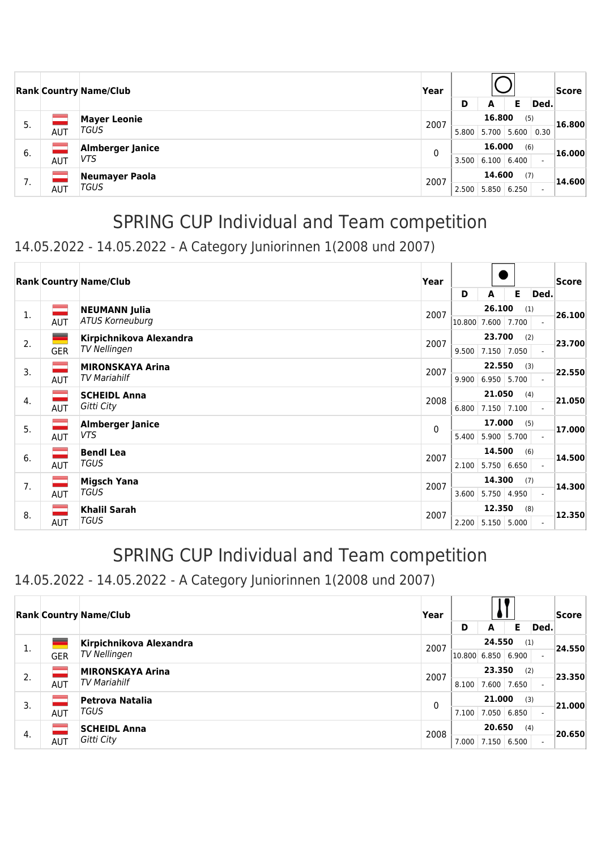|    |                | <b>Rank Country Name/Club</b> | Year |        |               |       |        | Score  |
|----|----------------|-------------------------------|------|--------|---------------|-------|--------|--------|
|    |                |                               | D    | A      | Е             | Ded.  |        |        |
| 5. |                | <b>Mayer Leonie</b>           | 2007 |        | 16.800        | (5)   |        | 16.800 |
|    | AUT            | TGUS                          |      | 5.800  | 5.700         | 5.600 | 0.30   |        |
| 6. |                | <b>Almberger Janice</b>       | 0    |        | 16.000<br>(6) |       |        | 16.000 |
|    | <b>AUT</b>     | VTS.                          |      | 3.500  | 6.100         | 6.400 |        |        |
| 7  | Neumayer Paola | 2007                          |      | 14.600 | (7)           |       | 14.600 |        |
| 7. | AUT            | <b>TGUS</b>                   |      | 2.500  | 5.850         | 6.250 |        |        |

### 14.05.2022 - 14.05.2022 - A Category Juniorinnen 1(2008 und 2007)

|    |               | <b>Rank Country Name/Club</b> | Year |              |        |               |                          | Score  |
|----|---------------|-------------------------------|------|--------------|--------|---------------|--------------------------|--------|
|    |               |                               |      | D            | A      | Е             | Ded.                     |        |
| 1. | $\Rightarrow$ | <b>NEUMANN Julia</b>          | 2007 |              | 26.100 | (1)           |                          | 26.100 |
|    | <b>AUT</b>    | <b>ATUS Korneuburg</b>        |      | 10.800 7.600 |        | 7.700         |                          |        |
| 2. | $\equiv$      | Kirpichnikova Alexandra       | 2007 |              | 23.700 | (2)           |                          | 23.700 |
|    | <b>GER</b>    | TV Nellingen                  |      | 9.500        | 7.150  | 7.050         |                          |        |
| 3. | $\equiv$      | <b>MIRONSKAYA Arina</b>       | 2007 |              | 22.550 | (3)           |                          | 22.550 |
|    | AUT           | <b>TV Mariahilf</b>           |      | 9.900        | 6.950  | 5.700         |                          |        |
| 4. | $\equiv$      | <b>SCHEIDL Anna</b>           | 2008 |              | 21.050 | (4)           |                          | 21.050 |
|    | <b>AUT</b>    | Gitti City                    |      | 6.800        |        | 7.150 7.100   |                          |        |
| 5. | $\equiv$      | <b>Almberger Janice</b>       | 0    |              | 17.000 | (5)           |                          | 17.000 |
|    | AUT           | VTS                           |      | 5.400        | 5.900  | 5.700         |                          |        |
| 6. | ═             | <b>Bendl Lea</b>              | 2007 |              | 14.500 | (6)           |                          | 14.500 |
|    | AUT           | TGUS                          |      | 2.100        |        | 5.750   6.650 |                          |        |
| 7. | ═             | <b>Migsch Yana</b>            | 2007 |              | 14.300 | (7)           |                          | 14.300 |
|    | AUT           | TGUS                          |      | 3.600        | 5.750  | 4.950         |                          |        |
| 8. |               | Khalil Sarah                  | 2007 |              | 12.350 | (8)           |                          | 12.350 |
|    | AUT           | TGUS                          |      | 2.200        | 5.150  | 5.000         | $\overline{\phantom{0}}$ |        |

## SPRING CUP Individual and Team competition

### 14.05.2022 - 14.05.2022 - A Category Juniorinnen 1(2008 und 2007)

|    |            | <b>Rank Country Name/Club</b> | Year |              |             |       |      | Score  |
|----|------------|-------------------------------|------|--------------|-------------|-------|------|--------|
|    |            |                               |      | D            | A           | Е     | Ded. |        |
|    |            | Kirpichnikova Alexandra       | 2007 |              | 24.550      | (1)   |      | 24.550 |
| ı. | <b>GER</b> | <b>TV Nellingen</b>           |      | 10.800 6.850 |             | 6.900 |      |        |
| 2. |            | <b>MIRONSKAYA Arina</b>       | 2007 |              | 23.350      | (2)   |      | 23.350 |
|    | <b>AUT</b> | <b>TV Mariahilf</b>           |      | 8.100        | 7.600       | 7.650 |      |        |
| 3. |            | Petrova Natalia               | 0    |              | 21.000      | (3)   |      | 21.000 |
|    | <b>AUT</b> | TGUS                          |      | 7.100        | 7.050 6.850 |       |      |        |
| 4. |            | <b>SCHEIDL Anna</b>           | 2008 |              | 20.650      | (4)   |      | 20.650 |
|    | <b>AUT</b> | Gitti City                    |      | 7.000        | 7.150       | 6.500 |      |        |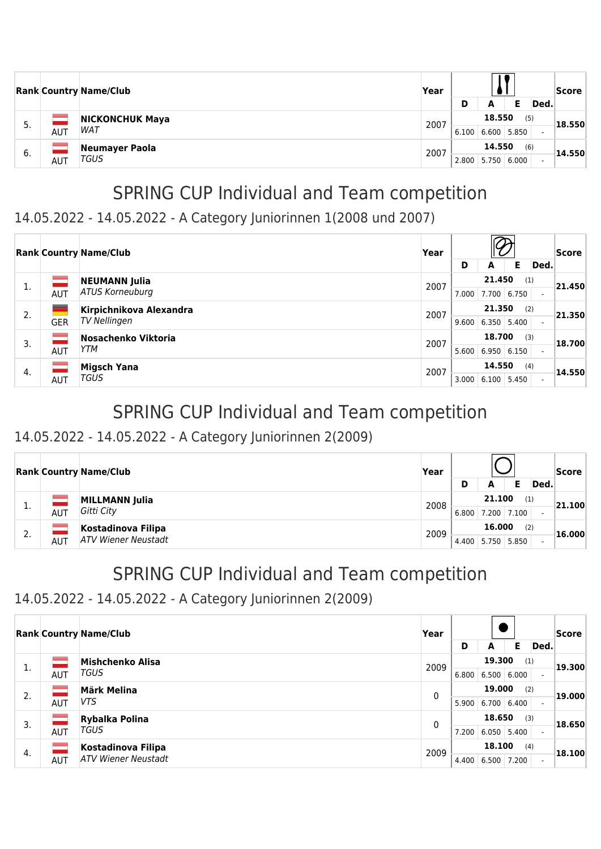|    |     | <b>Rank Country Name/Club</b>        | Year | D                                        | А                     | Е   | Ded. | Score  |
|----|-----|--------------------------------------|------|------------------------------------------|-----------------------|-----|------|--------|
| 5. | AUT | <b>NICKONCHUK Maya</b><br><b>WAT</b> | 2007 | 6.100                                    | 18.550<br>6.600 5.850 | (5) |      | 18.550 |
| 6. | AUT | Neumayer Paola<br>TGUS               | 2007 | 14.550<br>(6)<br>6.000<br>5.750<br>2.800 |                       |     |      | 14.550 |

### 14.05.2022 - 14.05.2022 - A Category Juniorinnen 1(2008 und 2007)

|    |            | <b>Rank Country Name/Club</b>                  | Year | D     | A                       | Е            | Ded. | Score  |
|----|------------|------------------------------------------------|------|-------|-------------------------|--------------|------|--------|
| 1. | <b>AUT</b> | <b>NEUMANN Julia</b><br><b>ATUS Korneuburg</b> | 2007 | 7.000 | 21.450<br>7.700         | (1)<br>6.750 |      | 21.450 |
| 2. | <b>GER</b> | Kirpichnikova Alexandra<br>TV Nellingen        | 2007 | 9.600 | 21.350<br>$6.350$ 5.400 | (2)          |      | 21.350 |
| 3. | AUT        | Nosachenko Viktoria<br>YTM                     | 2007 | 5.600 | 18.700<br>6.950         | (3)<br>6.150 |      | 18.700 |
| 4. | AUT        | <b>Migsch Yana</b><br><b>TGUS</b>              | 2007 | 3.000 | 14.550<br>6.100         | (4)<br>5.450 |      | 14.550 |

## SPRING CUP Individual and Team competition

#### 14.05.2022 - 14.05.2022 - A Category Juniorinnen 2(2009)

|    |     | <b>Rank Country Name/Club</b> | Year |       |        |               |      | Score  |
|----|-----|-------------------------------|------|-------|--------|---------------|------|--------|
|    |     |                               |      | D     | А      |               | Ded. |        |
|    |     | <b>MILLMANN Julia</b>         | 2008 |       | 21,100 | (1)           |      | 21.100 |
| ∸. | AUT | Gitti City                    |      | 6.800 | 7.200  | 7.100         |      |        |
|    |     | Kostadinova Filipa            |      |       | 16,000 | (2)           |      |        |
| z. | AUT | <b>ATV Wiener Neustadt</b>    | 2009 | 4.400 |        | $5.750$ 5.850 |      | 16.000 |

# SPRING CUP Individual and Team competition

#### 14.05.2022 - 14.05.2022 - A Category Juniorinnen 2(2009)

|    |            | <b>Rank Country Name/Club</b> | Year |               |               |       |                          | Score  |        |
|----|------------|-------------------------------|------|---------------|---------------|-------|--------------------------|--------|--------|
|    |            |                               |      | D             | A             | Е     | Ded.                     |        |        |
| 1. |            | Mishchenko Alisa              | 2009 |               | 19.300<br>(1) |       |                          | 19.300 |        |
|    | <b>AUT</b> | TGUS                          |      | 6.800         | 6.500         | 6.000 |                          |        |        |
| 2. |            | Märk Melina                   | 0    | 19.000<br>(2) |               |       |                          |        | 19.000 |
|    | <b>AUT</b> | VTS                           |      | 5.900         | 6.700         | 6.400 |                          |        |        |
| 3. |            | Rybalka Polina                | 0    |               | 18.650<br>(3) |       |                          | 18.650 |        |
|    | <b>AUT</b> | TGUS                          |      | 7.200         | $6.050$ 5.400 |       |                          |        |        |
|    |            | Kostadinova Filipa            | 2009 |               | 18.100        | (4)   |                          | 18.100 |        |
| 4. | <b>AUT</b> | <b>ATV Wiener Neustadt</b>    |      | 4.400         | 6.500         | 7.200 | $\overline{\phantom{0}}$ |        |        |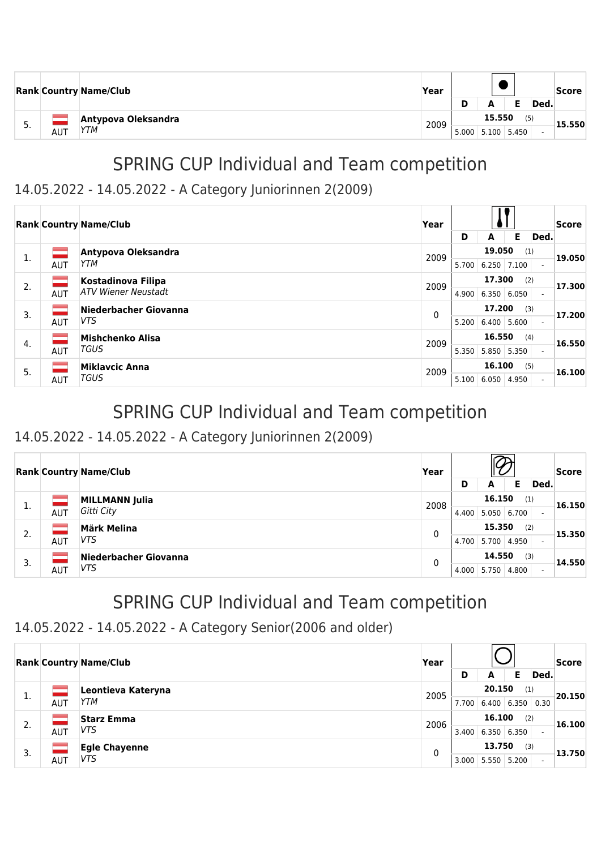|          |            | <b>Rank Country Name/Club</b> | Year |       |        |               |      | Score  |
|----------|------------|-------------------------------|------|-------|--------|---------------|------|--------|
|          |            |                               |      | D     | А      |               | Ded. |        |
|          |            | Antypova Oleksandra           | 2009 |       | 15.550 | (5)           |      | 15.550 |
| <u>.</u> | <b>AUT</b> | YTM                           |      | 5.000 |        | $5.100$ 5.450 |      |        |

#### 14.05.2022 - 14.05.2022 - A Category Juniorinnen 2(2009)

|    |            | <b>Rank Country Name/Club</b> | Year |       |               |       |                          | Score  |
|----|------------|-------------------------------|------|-------|---------------|-------|--------------------------|--------|
|    |            |                               |      | D     | A             | Е     | Ded.                     |        |
| 1. |            | Antypova Oleksandra           | 2009 |       | 19.050        | (1)   |                          | 19.050 |
|    | <b>AUT</b> | YTM                           |      | 5.700 | 6.250         | 7.100 |                          |        |
| 2. | ــ         | Kostadinova Filipa            | 2009 |       | 17.300        | (2)   |                          | 17.300 |
|    | <b>AUT</b> | <b>ATV Wiener Neustadt</b>    |      | 4.900 | 6.350         | 6.050 | $\overline{\phantom{0}}$ |        |
| 3. |            | Niederbacher Giovanna         | 0    |       | 17.200        | (3)   |                          | 17.200 |
|    | <b>AUT</b> | VTS.                          |      | 5.200 | 6.400         | 5.600 |                          |        |
| 4. | $\sim 10$  | Mishchenko Alisa              | 2009 |       | 16.550        | (4)   |                          | 16.550 |
|    | <b>AUT</b> | <b>TGUS</b>                   |      | 5.350 | $5.850$ 5.350 |       |                          |        |
| 5. |            | <b>Miklavcic Anna</b>         | 2009 |       | 16.100        | (5)   |                          | 16.100 |
|    | <b>AUT</b> | <b>TGUS</b>                   |      | 5.100 | 6.050         | 4.950 | $\overline{\phantom{0}}$ |        |

### SPRING CUP Individual and Team competition

#### 14.05.2022 - 14.05.2022 - A Category Juniorinnen 2(2009)

|    |            | <b>Rank Country Name/Club</b> | Year |               |       |       | Score                    |        |  |  |
|----|------------|-------------------------------|------|---------------|-------|-------|--------------------------|--------|--|--|
|    |            |                               |      | D             | A     | Е     | Ded.                     |        |  |  |
|    |            | <b>MILLMANN Julia</b>         | 2008 | 16.150<br>(1) |       |       |                          | 16.150 |  |  |
| π. | <b>AUT</b> | Gitti City                    |      | 4.400         | 5.050 | 6.700 | $\overline{\phantom{a}}$ |        |  |  |
| 2. |            | <b>Märk Melina</b>            | 0    | 15.350<br>(2) |       |       |                          | 15.350 |  |  |
|    | AUT        | VTS                           |      | 4.700         | 5.700 | 4.950 |                          |        |  |  |
| 3. |            | Niederbacher Giovanna         | 0    | 14.550        |       | (3)   |                          |        |  |  |
|    | AUT        | VTS                           |      | 4.000         | 5.750 | 4.800 | $\overline{\phantom{0}}$ | 14.550 |  |  |

## SPRING CUP Individual and Team competition

#### 14.05.2022 - 14.05.2022 - A Category Senior(2006 and older)

|    |            | <b>Rank Country Name/Club</b> | Year |               |        |                    |      | Score  |
|----|------------|-------------------------------|------|---------------|--------|--------------------|------|--------|
|    |            |                               |      | D             | A      | Е                  | Ded. |        |
| 1. |            | Leontieva Kateryna            | 2005 |               | 20.150 | (1)                |      | 20.150 |
|    | AUT        | <b>YTM</b>                    |      | 7.700         |        | $6.400 \mid 6.350$ | 0.30 |        |
| 2. |            | <b>Starz Emma</b>             | 2006 | 16.100<br>(2) |        |                    |      | 16.100 |
|    | <b>AUT</b> | VTS                           |      | 3.400         | 6.350  | 6.350              |      |        |
| 3. |            | <b>Egle Chayenne</b>          | 0    |               | 13.750 | (3)                |      | 13.750 |
|    | AUT        | VTS                           |      | 3.000         | 5.550  | 5.200              |      |        |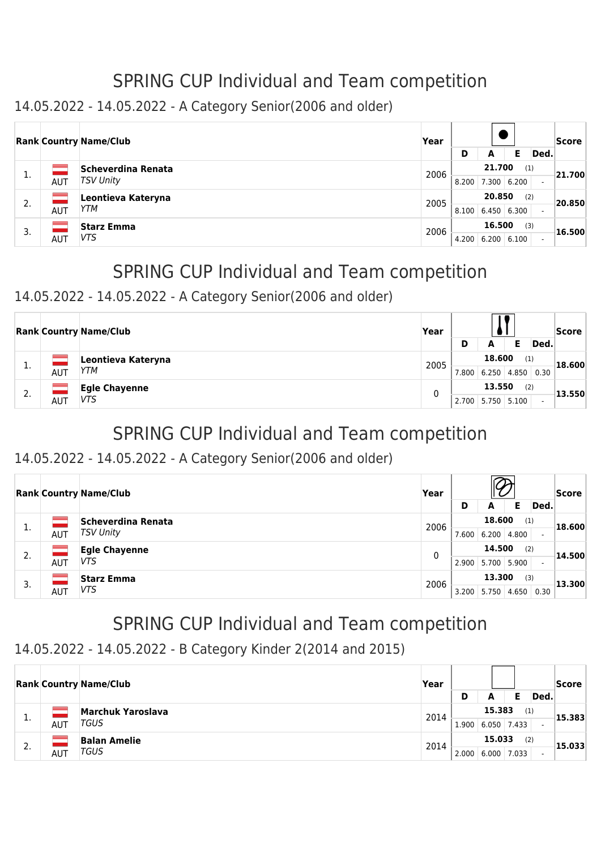14.05.2022 - 14.05.2022 - A Category Senior(2006 and older)

|    |            | <b>Rank Country Name/Club</b> | Year |       |               |       |      | <b>Score</b> |
|----|------------|-------------------------------|------|-------|---------------|-------|------|--------------|
|    |            |                               |      | D     | A             | Е     | Ded. |              |
|    |            | Scheverdina Renata            | 2006 |       | 21.700        |       | (1)  | 21.700       |
| ı. | AUT        | <b>TSV Unity</b>              |      | 8.200 | 7.300 6.200   |       |      |              |
| 2. |            | Leontieva Kateryna            | 2005 |       | 20.850<br>(2) |       |      | 20.850       |
|    | <b>AUT</b> | YTM                           |      | 8.100 | 6.450   6.300 |       |      |              |
|    |            | <b>Starz Emma</b>             | 2006 |       | 16.500        |       | (3)  | 16.500       |
| 3. | AUT        | VTS.                          |      | 4.200 | 6.200         | 6.100 |      |              |

# SPRING CUP Individual and Team competition

#### 14.05.2022 - 14.05.2022 - A Category Senior(2006 and older)

|    |     | <b>Rank Country Name/Club</b> | Year |               |        |        |      | <b>Score</b> |
|----|-----|-------------------------------|------|---------------|--------|--------|------|--------------|
|    |     |                               |      | D             | А      |        | Ded. |              |
|    |     | Leontieva Kateryna            | 2005 | 18,600<br>(1) |        | 18.600 |      |              |
| π. | AUT | YTM                           |      | 7.800         | 6.250  | 4.850  | 0.30 |              |
| C. |     | <b>Egle Chayenne</b>          |      |               | 13.550 |        | (2)  | 13.550       |
| z. | AUT | VTS                           | 0    | 2.700         | 5.750  | 5.100  |      |              |

# SPRING CUP Individual and Team competition

#### 14.05.2022 - 14.05.2022 - A Category Senior(2006 and older)

|    |     | <b>Rank Country Name/Club</b> | Year |       |               |       |                          | Score  |
|----|-----|-------------------------------|------|-------|---------------|-------|--------------------------|--------|
|    |     |                               |      | D     | Е<br>A        | Ded.  |                          |        |
| 1. |     | Scheverdina Renata            | 2006 |       | 18.600        | (1)   |                          | 18.600 |
|    | AUT | <b>TSV Unity</b>              |      | 7.600 | 6.200         | 4.800 | $\overline{\phantom{0}}$ |        |
| 2. |     | <b>Egle Chayenne</b>          | 0    |       | 14.500<br>(2) |       |                          | 14.500 |
|    | AUT | VTS                           |      | 2.900 | 5.700         | 5.900 |                          |        |
|    |     | <b>Starz Emma</b>             | 2006 |       | 13.300        | (3)   |                          | 13.300 |
| 3. | AUT | VTS.                          |      | 3.200 | 5.750         | 4.650 | 0.30                     |        |

## SPRING CUP Individual and Team competition

#### 14.05.2022 - 14.05.2022 - B Category Kinder 2(2014 and 2015)

|    |     | <b>Rank Country Name/Club</b> | Year | D     | А               |              | Ded. | Score  |
|----|-----|-------------------------------|------|-------|-----------------|--------------|------|--------|
| д. | AUT | Marchuk Yaroslava<br>TGUS     | 2014 | 1.900 | 15.383<br>6.050 | (1)<br>7.433 |      | 15.383 |
| 2. | AUT | <b>Balan Amelie</b><br>TGUS   | 2014 | 2.000 | 15.033<br>6.000 | (2)<br>7.033 |      | 15.033 |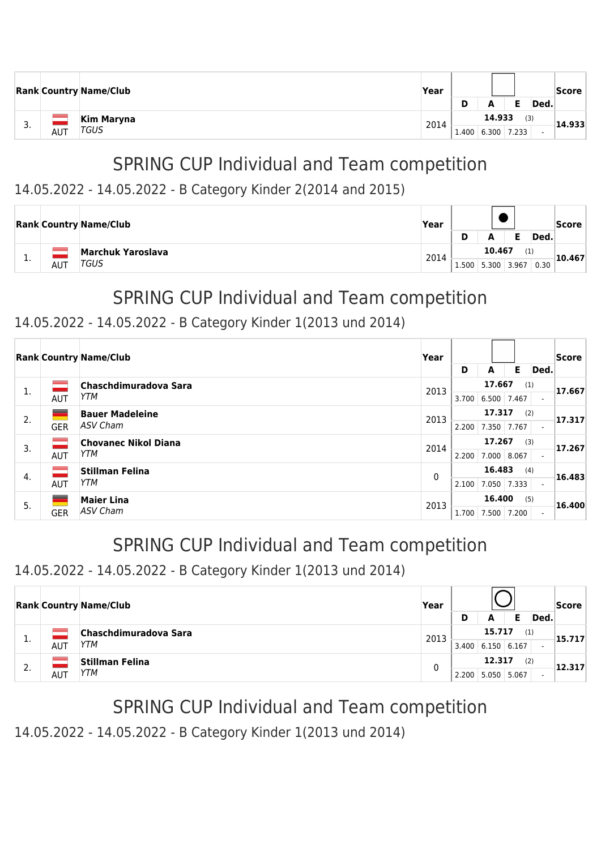|     |     | <b>Rank Country Name/Club</b> | Year | D     | A      |                    | Ded. | Score  |
|-----|-----|-------------------------------|------|-------|--------|--------------------|------|--------|
| . ب | AUT | Kim Maryna<br><b>TGUS</b>     | 2014 | 1.400 | 14.933 | (3)<br>6.300 7.233 |      | 14.933 |

#### 14.05.2022 - 14.05.2022 - B Category Kinder 2(2014 and 2015)

|   |     | <b>Rank Country Name/Club</b> | Year |       |        |       |      | Score  |
|---|-----|-------------------------------|------|-------|--------|-------|------|--------|
|   |     |                               |      | D     | A      |       | Ded. |        |
|   |     | <b>Marchuk Yaroslava</b>      | 2014 |       | 10.467 |       |      | 10.467 |
| . | AUT | TGUS                          |      | 1.500 | 5.300  | 3.967 | 0.30 |        |

# SPRING CUP Individual and Team competition

#### 14.05.2022 - 14.05.2022 - B Category Kinder 1(2013 und 2014)

|    |                | <b>Rank Country Name/Club</b> | Year  |       |             |       |                          | Score  |
|----|----------------|-------------------------------|-------|-------|-------------|-------|--------------------------|--------|
|    |                |                               |       | D     | A           | Е     | Ded.                     |        |
| 1. |                | Chaschdimuradova Sara         | 2013  |       | 17.667      | (1)   |                          | 17.667 |
|    | <b>AUT</b>     | YTM                           |       | 3.700 | 6.500       | 7.467 | $\overline{\phantom{0}}$ |        |
| 2. |                | <b>Bauer Madeleine</b>        | 2013  |       | 17.317      |       | (2)                      | 17.317 |
|    | <b>GER</b>     | ASV Cham                      |       | 2.200 | 7.350       | 7.767 | $\overline{\phantom{0}}$ |        |
| 3. |                | <b>Chovanec Nikol Diana</b>   | 2014  |       | 17.267      | (3)   |                          | 17.267 |
|    | <b>AUT</b>     | <b>YTM</b>                    |       | 2.200 | 7.000       | 8.067 |                          |        |
| 4. | <b>College</b> | Stillman Felina               | 0     |       | 16.483      | (4)   |                          | 16.483 |
|    | <b>AUT</b>     | <b>YTM</b>                    |       | 2.100 | 7.050 7.333 |       | $\overline{\phantom{0}}$ |        |
| 5. |                | <b>Maier Lina</b>             | 2013  |       | 16.400      | (5)   |                          | 16,400 |
|    | <b>GER</b>     | <b>ASV Cham</b>               | 1.700 |       | 7.500       | 7.200 | $\overline{\phantom{0}}$ |        |

## SPRING CUP Individual and Team competition

### 14.05.2022 - 14.05.2022 - B Category Kinder 1(2013 und 2014)

|    |            | <b>Rank Country Name/Club</b> | Year |       |        |       |      | Score  |  |  |
|----|------------|-------------------------------|------|-------|--------|-------|------|--------|--|--|
|    |            |                               |      | D     | А      |       | Ded. |        |  |  |
|    |            | Chaschdimuradova Sara         | 2013 |       | 15.717 | (1)   |      | 15.717 |  |  |
| л. | <b>AUT</b> | YTM                           |      | 3.400 | 6.150  | 6.167 |      |        |  |  |
| 2. |            | <b>Stillman Felina</b>        | 0    |       | 12.317 | (2)   |      | 12.317 |  |  |
|    | AUT        | YTM                           |      | 2.200 | 5.050  | 5.067 |      |        |  |  |

## SPRING CUP Individual and Team competition

14.05.2022 - 14.05.2022 - B Category Kinder 1(2013 und 2014)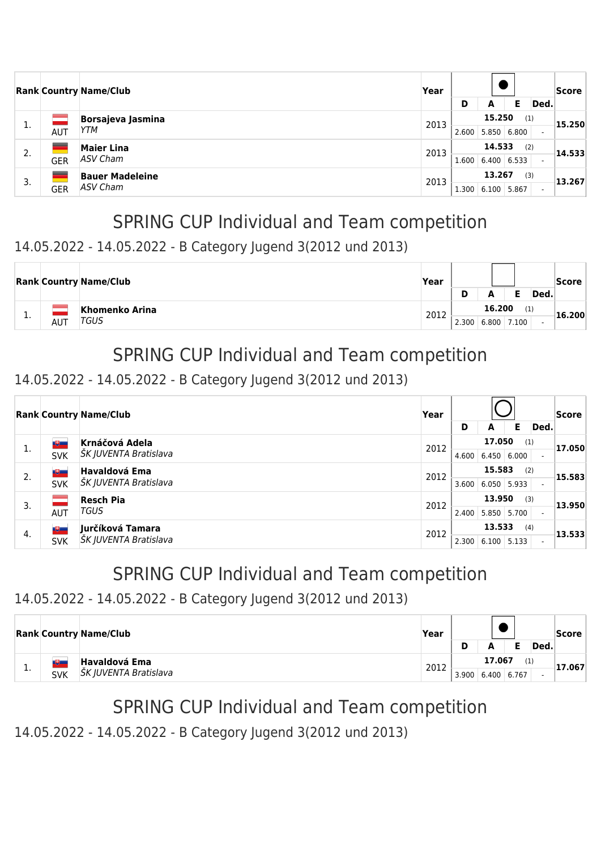|    |            | <b>Rank Country Name/Club</b> | Year |               |        |       |                          |        |  |  |  |  |  |  |  |  |  |  |  |  |  | Score |
|----|------------|-------------------------------|------|---------------|--------|-------|--------------------------|--------|--|--|--|--|--|--|--|--|--|--|--|--|--|-------|
|    |            |                               |      | D             | A      | Е     | Ded.                     |        |  |  |  |  |  |  |  |  |  |  |  |  |  |       |
| 1. |            | <b>Borsajeva Jasmina</b>      | 2013 |               | 15.250 | (1)   |                          | 15.250 |  |  |  |  |  |  |  |  |  |  |  |  |  |       |
|    | AUT        | YTM                           |      | 2.600         | 5.850  | 6.800 | $\overline{\phantom{a}}$ |        |  |  |  |  |  |  |  |  |  |  |  |  |  |       |
| 2. |            | <b>Maier Lina</b>             | 2013 | 14.533<br>(2) |        |       |                          | 14.533 |  |  |  |  |  |  |  |  |  |  |  |  |  |       |
|    | <b>GER</b> | ASV Cham                      |      | 1.600         | 6.400  | 6.533 |                          |        |  |  |  |  |  |  |  |  |  |  |  |  |  |       |
|    |            | <b>Bauer Madeleine</b>        | 2013 |               | 13.267 | (3)   |                          | 13.267 |  |  |  |  |  |  |  |  |  |  |  |  |  |       |
| 3. | <b>GER</b> | ASV Cham                      |      | 1.300         | 6.100  | 5.867 |                          |        |  |  |  |  |  |  |  |  |  |  |  |  |  |       |

#### 14.05.2022 - 14.05.2022 - B Category Jugend 3(2012 und 2013)

|    |     | <b>Rank Country Name/Club</b> | Year<br>2012 |       |             |       |      | Score  |
|----|-----|-------------------------------|--------------|-------|-------------|-------|------|--------|
| ٠. |     | Khomenko Arina                |              | D     | A<br>16.200 | (1)   | Ded. | 16.200 |
|    | AUT | TGUS                          |              | 2.300 | 6.800       | 7.100 |      |        |

## SPRING CUP Individual and Team competition

#### 14.05.2022 - 14.05.2022 - B Category Jugend 3(2012 und 2013)

|    |              | <b>Rank Country Name/Club</b> | Year |       |        |       |      | Score  |
|----|--------------|-------------------------------|------|-------|--------|-------|------|--------|
|    |              |                               |      | D     | A      | Е     | Ded. |        |
| 1. | $\mathbf{E}$ | Krnáčová Adela                | 2012 |       | 17.050 | (1)   |      | 17.050 |
|    | <b>SVK</b>   | ŠK JUVENTA Bratislava         |      | 4.600 | 6.450  | 6.000 |      |        |
| 2. | ツー           | <b>Havaldová Ema</b>          | 2012 |       | 15.583 | (2)   |      | 15.583 |
|    | <b>SVK</b>   | ŠK JUVENTA Bratislava         |      | 3.600 | 6.050  | 5.933 |      |        |
| 3. |              | <b>Resch Pia</b>              | 2012 |       | 13.950 | (3)   |      | 13.950 |
|    | <b>AUT</b>   | TGUS                          |      | 2.400 | 5.850  | 5.700 |      |        |
| 4. | 电工           | Jurčíková Tamara              | 2012 |       | 13.533 | (4)   |      | 13.533 |
|    | <b>SVK</b>   | ŠK JUVENTA Bratislava         |      | 2.300 | 6.100  | 5.133 |      |        |

# SPRING CUP Individual and Team competition

#### 14.05.2022 - 14.05.2022 - B Category Jugend 3(2012 und 2013)

|    |     | <b>Rank Country Name/Club</b>                        | Year | D     | А               |              | Ded. | Score  |
|----|-----|------------------------------------------------------|------|-------|-----------------|--------------|------|--------|
| ٠. | SVK | <b>Havaldová Ema</b><br><b>SK JUVENTA Bratislava</b> | 2012 | 3.900 | 17.067<br>6.400 | (1)<br>6.767 |      | 17.067 |

# SPRING CUP Individual and Team competition

14.05.2022 - 14.05.2022 - B Category Jugend 3(2012 und 2013)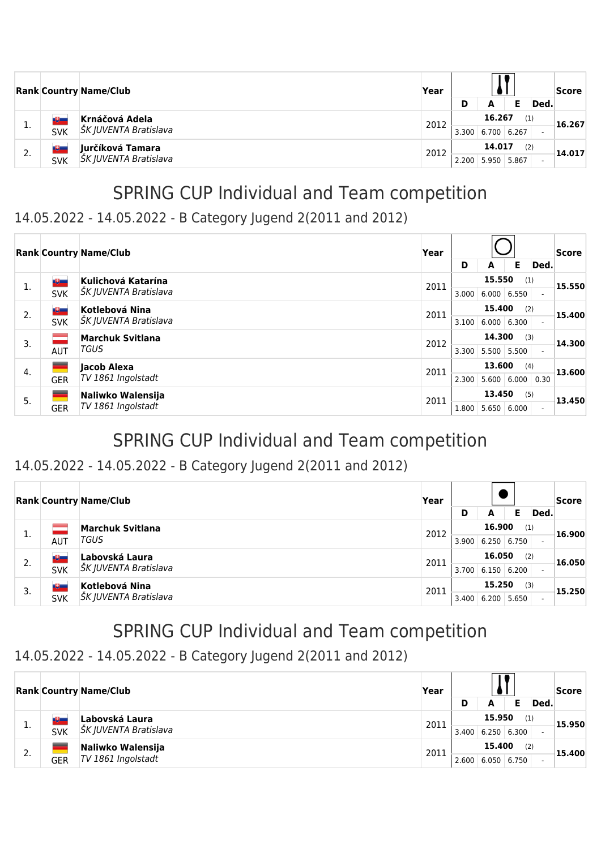|    |                                | <b>Rank Country Name/Club</b>             | Year | D     | A                     |              | Ded. | <b>Score</b> |
|----|--------------------------------|-------------------------------------------|------|-------|-----------------------|--------------|------|--------------|
|    | <b>TELESCOPE</b><br><b>SVK</b> | Krnáčová Adela<br>ŠK JUVENTA Bratislava   | 2012 | 3.300 | 16.267<br>6.700       | (1)<br>6.267 |      | 16.267       |
| 2. | ست<br><b>SVK</b>               | Jurčíková Tamara<br>ŠK JUVENTA Bratislava | 2012 | 2.200 | 14.017<br>5.950 5.867 | (2)          |      | 14.017       |

#### 14.05.2022 - 14.05.2022 - B Category Jugend 2(2011 and 2012)

|    |            | <b>Rank Country Name/Club</b> | Year |       |        |       | Score |        |
|----|------------|-------------------------------|------|-------|--------|-------|-------|--------|
|    |            |                               |      | D     | A      | Е     | Ded.  |        |
| 1. | ツー         | Kulichová Katarína            | 2011 |       | 15.550 | (1)   |       | 15.550 |
|    | <b>SVK</b> | ŠK JUVENTA Bratislava         |      | 3.000 | 6.000  | 6.550 |       |        |
| 2. | 心          | Kotlebová Nina                | 2011 |       | 15,400 | (2)   |       | 15,400 |
|    | <b>SVK</b> | ŠK JUVENTA Bratislava         |      | 3.100 | 6.000  | 6.300 |       |        |
| 3. | $\sim 10$  | <b>Marchuk Svitlana</b>       | 2012 |       | 14.300 | (3)   |       | 14.300 |
|    | <b>AUT</b> | TGUS                          |      | 3.300 | 5.500  | 5.500 |       |        |
| 4. |            | lacob Alexa                   | 2011 |       | 13.600 | (4)   |       | 13.600 |
|    | <b>GER</b> | TV 1861 Ingolstadt            |      | 2.300 | 5.600  | 6.000 | 0.30  |        |
| 5. |            | Naliwko Walensija             | 2011 |       | 13,450 | (5)   |       | 13.450 |
|    | <b>GER</b> | TV 1861 Ingolstadt            |      | 1.800 | 5.650  | 6.000 |       |        |

## SPRING CUP Individual and Team competition

#### 14.05.2022 - 14.05.2022 - B Category Jugend 2(2011 and 2012)

|    | <b>Rank Country Name/Club</b> |                         | Year |       |                    |       |      | Score<br> 16.900 <br> 16.050 |
|----|-------------------------------|-------------------------|------|-------|--------------------|-------|------|------------------------------|
|    |                               |                         |      | D     | A                  | Е     | Ded. |                              |
| 1. |                               | <b>Marchuk Svitlana</b> | 2012 |       | 16.900             | (1)   |      |                              |
|    | AUT                           | TGUS                    |      | 3.900 | $6.250 \mid 6.750$ |       |      |                              |
| 2. | LU –                          | Labovská Laura          | 2011 |       | 16.050             | (2)   |      |                              |
|    | <b>SVK</b>                    | ŠK JUVENTA Bratislava   |      | 3.700 | 6.150   6.200      |       |      |                              |
|    | <u>iti in </u>                | Kotlebová Nina          | 2011 |       | 15.250             | (3)   |      | 15.250                       |
| 3. | <b>SVK</b>                    | ŠK JUVENTA Bratislava   |      | 3.400 | 6.200              | 5.650 |      |                              |

## SPRING CUP Individual and Team competition

#### 14.05.2022 - 14.05.2022 - B Category Jugend 2(2011 and 2012)

|    |            | <b>Rank Country Name/Club</b>           | Year | D     | А                            |              | Ded. | Score  |
|----|------------|-----------------------------------------|------|-------|------------------------------|--------------|------|--------|
| ∸. | <b>SVK</b> | Labovská Laura<br>ŠK JUVENTA Bratislava | 2011 | 3.400 | 15.950<br>$6.250 \mid 6.300$ | (1)          |      | 15.950 |
| 2. | <b>GER</b> | Naliwko Walensija<br>TV 1861 Ingolstadt | 2011 | 2.600 | 15,400<br>6.050              | (2)<br>6.750 |      | 15,400 |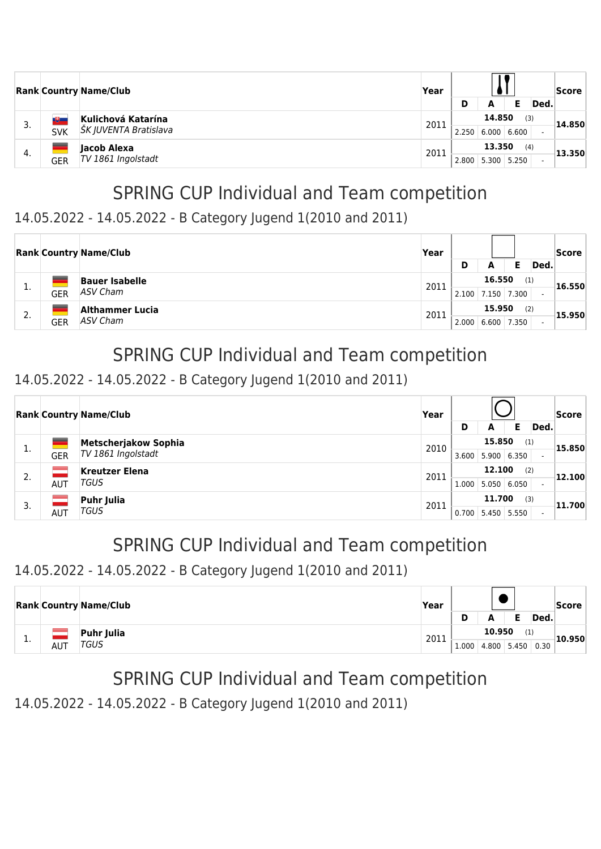|    |            | <b>Rank Country Name/Club</b>               | Year | D     | А               |              | Ded. | Score  |
|----|------------|---------------------------------------------|------|-------|-----------------|--------------|------|--------|
| 3. | <b>SVK</b> | Kulichová Katarína<br>ŠK JUVENTA Bratislava | 2011 | 2.250 | 14.850<br>6.000 | (3)<br>6.600 |      | 14.850 |
| 4. | <b>GER</b> | Jacob Alexa<br>TV 1861 Ingolstadt           | 2011 | 2.800 | 13.350<br>5.300 | (4)<br>5.250 |      | 13.350 |

### 14.05.2022 - 14.05.2022 - B Category Jugend 1(2010 and 2011)

|     |            | <b>Rank Country Name/Club</b>     | Year | D     | А               |                    | Ded. | <b>Score</b> |
|-----|------------|-----------------------------------|------|-------|-----------------|--------------------|------|--------------|
| д., | GER        | <b>Bauer Isabelle</b><br>ASV Cham | 2011 | 2.100 | 16.550          | (1)<br>7.150 7.300 |      | 16.550       |
| 2.  | <b>GER</b> | Althammer Lucia<br>ASV Cham       | 2011 | 2.000 | 15.950<br>6.600 | (2)<br>7.350       |      | 15.950       |

## SPRING CUP Individual and Team competition

### 14.05.2022 - 14.05.2022 - B Category Jugend 1(2010 and 2011)

|    |            | <b>Rank Country Name/Club</b> | Year |               |        |       |                          | Score  |  |
|----|------------|-------------------------------|------|---------------|--------|-------|--------------------------|--------|--|
|    |            |                               |      | D             | A      | Е     | Ded.                     |        |  |
| 1. |            | Metscherjakow Sophia          | 2010 |               | 15.850 | (1)   |                          | 15.850 |  |
|    | <b>GER</b> | TV 1861 Ingolstadt            |      | 3.600         | 5.900  | 6.350 |                          |        |  |
| 2. |            | <b>Kreutzer Elena</b>         | 2011 | 12.100<br>(2) |        |       |                          | 12.100 |  |
|    | <b>AUT</b> | TGUS                          |      | 1.000         | 5.050  | 6.050 |                          |        |  |
|    |            | <b>Puhr Julia</b>             | 2011 |               | 11.700 | (3)   |                          | 11.700 |  |
| 3. | AUT        | TGUS                          |      | 0.700         | 5.450  | 5.550 | $\overline{\phantom{a}}$ |        |  |

## SPRING CUP Individual and Team competition

#### 14.05.2022 - 14.05.2022 - B Category Jugend 1(2010 and 2011)

|          |            | <b>Rank Country Name/Club</b> | Year |       |        |             |                    | Score  |
|----------|------------|-------------------------------|------|-------|--------|-------------|--------------------|--------|
|          |            |                               |      |       | A      |             | Ded.               |        |
|          |            | Puhr Julia<br>TGUS            | 2011 |       | 10.950 | (1)         |                    | 10.950 |
| <b>.</b> | <b>AUT</b> |                               |      | 1.000 |        | 4.800 5.450 | $\vert 0.30 \vert$ |        |

# SPRING CUP Individual and Team competition

14.05.2022 - 14.05.2022 - B Category Jugend 1(2010 and 2011)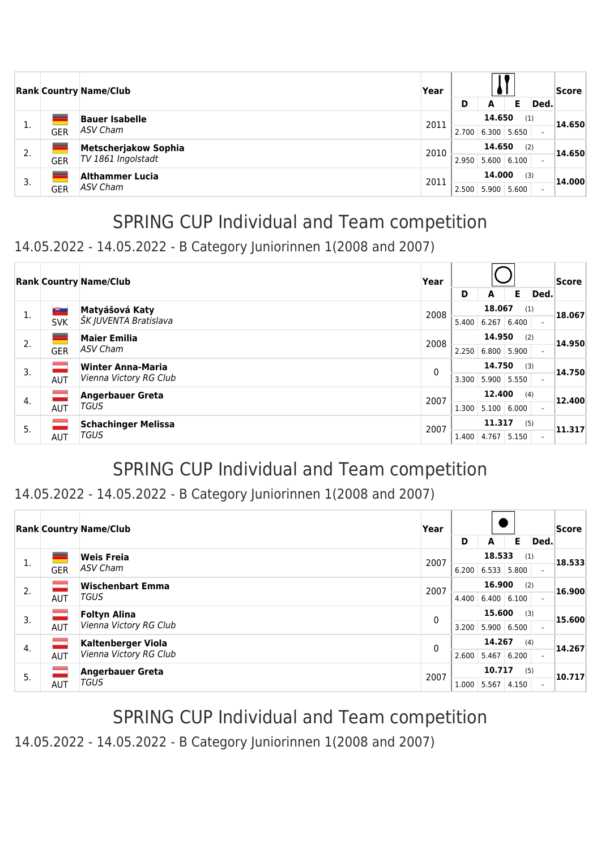|    |                        | <b>Rank Country Name/Club</b> | Year          |       |             |       |                          | Score  |
|----|------------------------|-------------------------------|---------------|-------|-------------|-------|--------------------------|--------|
|    |                        |                               |               | D     | A           | Е     | Ded.                     |        |
| 1. |                        | <b>Bauer Isabelle</b>         | 2011          |       | 14.650      | (1)   |                          | 14.650 |
|    | <b>GER</b>             | ASV Cham                      |               | 2.700 | 6.300 5.650 |       | $\overline{\phantom{a}}$ |        |
| 2. |                        | Metscherjakow Sophia          | 2010          |       | 14.650      | (2)   |                          | 14.650 |
|    | <b>GER</b>             | TV 1861 Ingolstadt            |               | 2.950 | 5.600       | 6.100 |                          |        |
|    | <b>Althammer Lucia</b> | 2011                          | 14.000<br>(3) |       |             |       | 14.000                   |        |
| 3. | <b>GER</b>             | ASV Cham                      |               | 2.500 | 5.900       | 5.600 |                          |        |

#### 14.05.2022 - 14.05.2022 - B Category Juniorinnen 1(2008 and 2007)

|    |            | <b>Rank Country Name/Club</b> | Year         |       |        |       |                          | <b>Score</b> |
|----|------------|-------------------------------|--------------|-------|--------|-------|--------------------------|--------------|
|    |            |                               |              | D     | A      | Е     | Ded.                     |              |
| 1. | ツー         | Matyášová Katy                | 2008         |       | 18.067 | (1)   |                          | 18.067       |
|    | <b>SVK</b> | ŠK JUVENTA Bratislava         |              | 5.400 | 6.267  | 6.400 |                          |              |
| 2. | -          | <b>Maier Emilia</b>           | 2008         |       | 14.950 | (2)   |                          | 14.950       |
|    | <b>GER</b> | ASV Cham                      |              | 2.250 | 6.800  | 5.900 |                          |              |
| 3. | $=$        | <b>Winter Anna-Maria</b>      | $\mathbf{0}$ |       | 14.750 | (3)   |                          | 14.750       |
|    | <b>AUT</b> | Vienna Victory RG Club        |              | 3.300 | 5.900  | 5.550 | $\overline{\phantom{0}}$ |              |
| 4. |            | <b>Angerbauer Greta</b>       | 2007         |       | 12,400 | (4)   |                          | 12.400       |
|    | <b>AUT</b> | <b>TGUS</b>                   |              | 1.300 | 5.100  | 6.000 |                          |              |
| 5. |            | <b>Schachinger Melissa</b>    | 2007         |       | 11.317 | (5)   |                          | 11.317       |
|    | AUT        | <b>TGUS</b>                   |              | 1.400 | 4.767  | 5.150 | $\overline{\phantom{0}}$ |              |

# SPRING CUP Individual and Team competition

#### 14.05.2022 - 14.05.2022 - B Category Juniorinnen 1(2008 and 2007)

|    |            | <b>Rank Country Name/Club</b> | Year |               |               |       |      | Score  |
|----|------------|-------------------------------|------|---------------|---------------|-------|------|--------|
|    |            |                               |      | D             | A             | E.    | Ded. |        |
| 1. |            | <b>Weis Freia</b>             | 2007 | 18.533<br>(1) |               |       |      | 18.533 |
|    | <b>GER</b> | ASV Cham                      |      | 6.200         | 6.533         | 5.800 |      |        |
| 2. |            | <b>Wischenbart Emma</b>       | 2007 |               | 16.900        | (2)   |      | 16.900 |
|    | AUT        | <b>TGUS</b>                   |      | 4.400         | 6.400         | 6.100 |      |        |
| 3. |            | <b>Foltyn Alina</b>           | 0    |               | 15.600        | (3)   |      | 15.600 |
|    | AUT        | Vienna Victory RG Club        |      | 3.200         | 5.900   6.500 |       |      |        |
| 4. | ÷          | <b>Kaltenberger Viola</b>     | 0    |               | 14.267        | (4)   |      | 14.267 |
|    | AUT        | Vienna Victory RG Club        |      | 2.600         | 5.467         | 6.200 |      |        |
| 5. |            | <b>Angerbauer Greta</b>       | 2007 |               | 10.717        | (5)   |      | 10.717 |
|    | <b>AUT</b> | <b>TGUS</b>                   |      | 1.000         | 5.567         | 4.150 |      |        |

# SPRING CUP Individual and Team competition

14.05.2022 - 14.05.2022 - B Category Juniorinnen 1(2008 and 2007)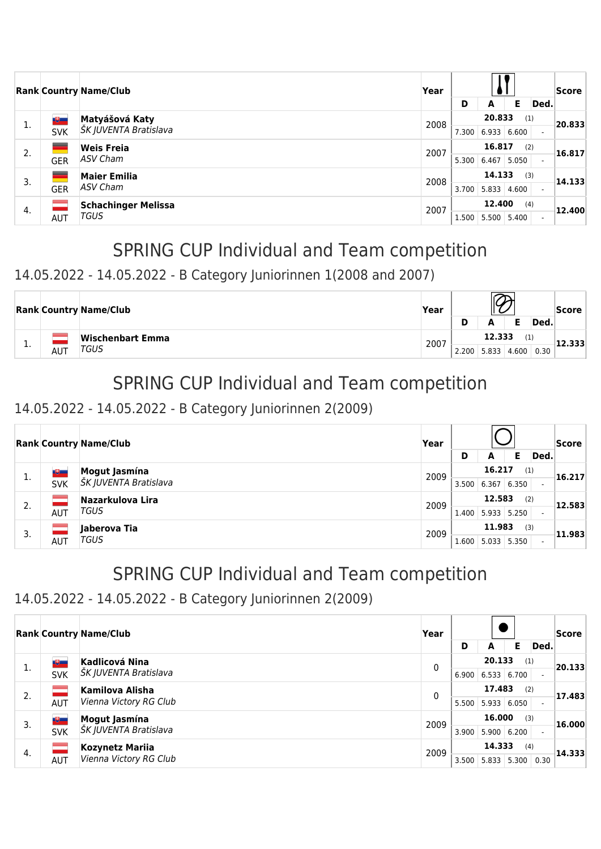|    |            | <b>Rank Country Name/Club</b> | Year |               |        |        |                          | Score  |        |
|----|------------|-------------------------------|------|---------------|--------|--------|--------------------------|--------|--------|
|    |            |                               |      | D             | A      | Е      | Ded.                     |        |        |
| 1. | 喝          | Matyášová Katy                | 2008 |               |        | 20.833 | (1)                      |        | 20.833 |
|    | <b>SVK</b> | ŠK JUVENTA Bratislava         |      | 7.300         | 6.933  | 6.600  |                          |        |        |
| 2. |            | <b>Weis Freia</b>             | 2007 | 16.817<br>(2) |        |        |                          | 16.817 |        |
|    | <b>GER</b> | ASV Cham                      |      | 5.300         | 6.467  | 5.050  | $\overline{\phantom{a}}$ |        |        |
| 3. |            | <b>Maier Emilia</b>           | 2008 |               | 14.133 | (3)    |                          | 14.133 |        |
|    | <b>GER</b> | ASV Cham                      |      | 3.700         | 5.833  | 4.600  | $\overline{\phantom{0}}$ |        |        |
| 4. |            | <b>Schachinger Melissa</b>    | 2007 |               | 12,400 | (4)    |                          | 12.400 |        |
|    | <b>AUT</b> | TGUS                          |      | 1.500         | 5.500  | 5.400  |                          |        |        |

### 14.05.2022 - 14.05.2022 - B Category Juniorinnen 1(2008 and 2007)

|     |  | <b>Rank Country Name/Club</b>   | Year |       |                    |      | Score |
|-----|--|---------------------------------|------|-------|--------------------|------|-------|
|     |  |                                 |      | D     | А                  | Ded. |       |
|     |  | Wischenbart Emma<br>TGUS<br>AUT | 2007 |       | 12.333             |      |       |
| . . |  |                                 |      | 2.200 | $5.833 \mid 4.600$ | 0.30 |       |

## SPRING CUP Individual and Team competition

#### 14.05.2022 - 14.05.2022 - B Category Juniorinnen 2(2009)

|    |            | <b>Rank Country Name/Club</b>           | Year |        |               |       |                          | <b>Score</b> |
|----|------------|-----------------------------------------|------|--------|---------------|-------|--------------------------|--------------|
|    |            |                                         |      | D      | A             | Е     | Ded.                     |              |
|    | 週          | Mogut Jasmína                           | 2009 |        | 16.217        | (1)   |                          | 16.217       |
| π. | <b>SVK</b> | ŠK JUVENTA Bratislava                   |      | 3.500  | 6.367         | 6.350 | $\overline{\phantom{0}}$ |              |
| 2. |            | Nazarkulova Lira<br>2009<br><b>TGUS</b> |      | 12.583 | (2)           |       | 12.583                   |              |
|    | <b>AUT</b> |                                         |      | 1.400  | 5.933 5.250   |       |                          |              |
| 3. |            | Jaberova Tia                            | 2009 |        | 11.983        | (3)   |                          | 11.983       |
|    | AUT        | TGUS                                    |      | 1.600  | $5.033$ 5.350 |       | $\overline{\phantom{a}}$ |              |

# SPRING CUP Individual and Team competition

### 14.05.2022 - 14.05.2022 - B Category Juniorinnen 2(2009)

|    |              | <b>Rank Country Name/Club</b> | Year |       |                    |       |      |        |
|----|--------------|-------------------------------|------|-------|--------------------|-------|------|--------|
|    |              |                               |      | D     | A                  | Е     | Ded. |        |
| 1. | ツー           | <b>Kadlicová Nina</b>         | 0    |       | 20.133             | (1)   |      | 20.133 |
|    | <b>SVK</b>   | ŠK JUVENTA Bratislava         |      | 6.900 | 6.533              | 6.700 |      |        |
| 2. |              | <b>Kamilova Alisha</b>        | 0    |       | 17.483             | (2)   |      | 17.483 |
|    | <b>AUT</b>   | Vienna Victory RG Club        |      | 5.500 | 5.933              | 6.050 |      |        |
| 3. | $\mathbb{R}$ | Mogut Jasmína                 | 2009 |       | 16.000             | (3)   |      | 16.000 |
|    | <b>SVK</b>   | ŠK JUVENTA Bratislava         |      | 3.900 | $5.900 \mid 6.200$ |       |      |        |
| 4. |              | <b>Kozynetz Mariia</b>        | 2009 |       | 14.333             | (4)   |      | 14.333 |
|    | <b>AUT</b>   | Vienna Victory RG Club        |      | 3.500 | 5.833              | 5.300 | 0.30 |        |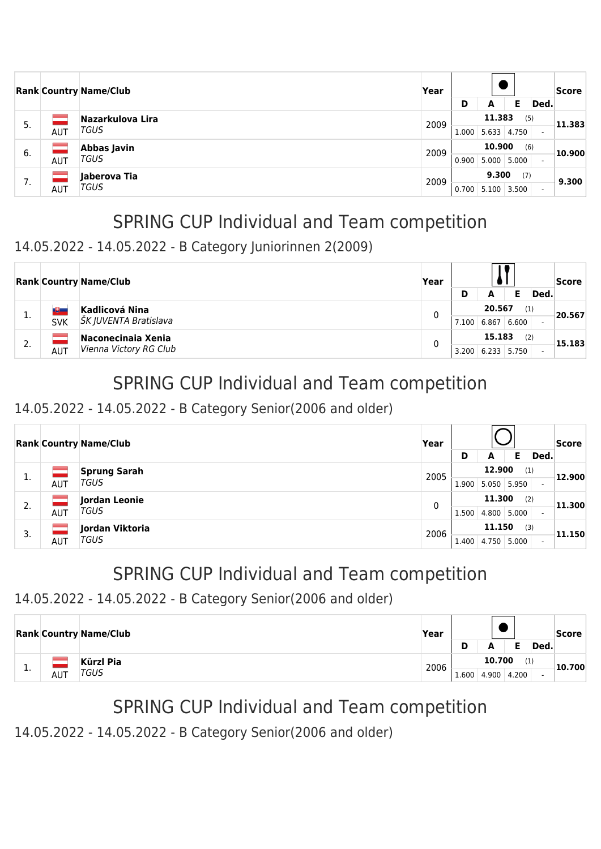|     |     | <b>Rank Country Name/Club</b> | Year |               |        |       |                          | Score  |
|-----|-----|-------------------------------|------|---------------|--------|-------|--------------------------|--------|
|     |     |                               |      | D             | A      | Е     | Ded.                     |        |
| .5. |     | Nazarkulova Lira              | 2009 |               | 11.383 | (5)   |                          | 11.383 |
|     | AUT | TGUS                          |      | 1.000         | 5.633  | 4.750 | $\overline{\phantom{0}}$ |        |
| 6.  |     | Abbas Javin<br>TGUS<br>AUT    | 2009 | 10.900<br>(6) |        |       |                          | 10.900 |
|     |     |                               |      | 0.900         | 5.000  | 5.000 |                          |        |
| 7.  |     | Jaberova Tia                  | 2009 |               | 9.300  | (7)   |                          | 9.300  |
|     | AUT | TGUS                          |      | 0.700         | 5.100  | 3.500 | $\overline{\phantom{a}}$ |        |

#### 14.05.2022 - 14.05.2022 - B Category Juniorinnen 2(2009)

|               |            | <b>Rank Country Name/Club</b>           | Year |               |               |       |        | Score  |
|---------------|------------|-----------------------------------------|------|---------------|---------------|-------|--------|--------|
|               |            |                                         |      | D             | А             |       | Ded.   |        |
|               | w          | Kadlicová Nina<br>ŠK JUVENTA Bratislava | 0    |               | 20.567<br>(1) |       |        | 20.567 |
|               | <b>SVK</b> |                                         |      | 7.100         | 6.867         | 6.600 |        |        |
| $\mathcal{L}$ |            | Naconecinaia Xenia                      |      | 15.183<br>(2) |               |       | 15.183 |        |
| Ζ.            | <b>AUT</b> | Vienna Victory RG Club                  |      | 3.200         | 6.233         | 5.750 |        |        |

# SPRING CUP Individual and Team competition

### 14.05.2022 - 14.05.2022 - B Category Senior(2006 and older)

|    |            | <b>Rank Country Name/Club</b>     | Year |       |               |       |                          | Score  |
|----|------------|-----------------------------------|------|-------|---------------|-------|--------------------------|--------|
|    |            |                                   |      | D     | A             | Е     | Ded.                     |        |
|    |            | <b>Sprung Sarah</b>               | 2005 |       | 12.900        | (1)   |                          | 12.900 |
| π. | AUT        | TGUS                              |      | 1.900 | $5.050$ 5.950 |       | $\overline{\phantom{0}}$ |        |
| 2. |            | Jordan Leonie<br>0<br><b>TGUS</b> |      |       | 11.300        | (2)   |                          | 11.300 |
|    | <b>AUT</b> |                                   |      | 1.500 | 4.800         | 5.000 |                          |        |
| 3. |            | Jordan Viktoria                   | 2006 |       | 11.150        | (3)   |                          | 11.150 |
|    | AUT        | TGUS                              |      | 1.400 | 4.750         | 5.000 |                          |        |

# SPRING CUP Individual and Team competition

### 14.05.2022 - 14.05.2022 - B Category Senior(2006 and older)

|           |     | <b>Rank Country Name/Club</b> | Year |               |       |       |      | Score  |
|-----------|-----|-------------------------------|------|---------------|-------|-------|------|--------|
|           |     |                               |      | D             | А     |       | Ded. |        |
|           |     | Kürzl Pia                     | 2006 | 10.700<br>(1) |       |       |      | 10.700 |
| <b>L.</b> | AUT | TGUS                          |      | 1.600         | 4.900 | 4.200 |      |        |

# SPRING CUP Individual and Team competition

14.05.2022 - 14.05.2022 - B Category Senior(2006 and older)